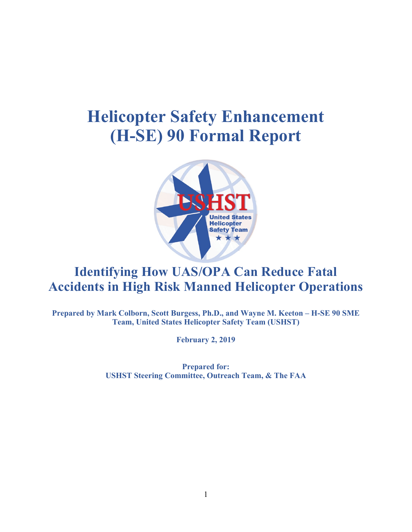# **Helicopter Safety Enhancement (H-SE) 90 Formal Report**



# **Identifying How UAS/OPA Can Reduce Fatal Accidents in High Risk Manned Helicopter Operations**

**Prepared by Mark Colborn, Scott Burgess, Ph.D., and Wayne M. Keeton – H-SE 90 SME Team, United States Helicopter Safety Team (USHST)**

**February 2, 2019**

**Prepared for: USHST Steering Committee, Outreach Team, & The FAA**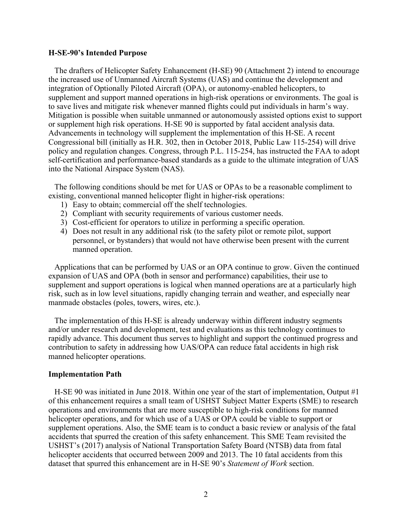#### **H-SE-90's Intended Purpose**

 The drafters of Helicopter Safety Enhancement (H-SE) 90 (Attachment 2) intend to encourage the increased use of Unmanned Aircraft Systems (UAS) and continue the development and integration of Optionally Piloted Aircraft (OPA), or autonomy-enabled helicopters, to supplement and support manned operations in high-risk operations or environments. The goal is to save lives and mitigate risk whenever manned flights could put individuals in harm's way. Mitigation is possible when suitable unmanned or autonomously assisted options exist to support or supplement high risk operations. H-SE 90 is supported by fatal accident analysis data. Advancements in technology will supplement the implementation of this H-SE. A recent Congressional bill (initially as H.R. 302, then in October 2018, Public Law 115-254) will drive policy and regulation changes. Congress, through P.L. 115-254, has instructed the FAA to adopt self-certification and performance-based standards as a guide to the ultimate integration of UAS into the National Airspace System (NAS).

 The following conditions should be met for UAS or OPAs to be a reasonable compliment to existing, conventional manned helicopter flight in higher-risk operations:

- 1) Easy to obtain; commercial off the shelf technologies.
- 2) Compliant with security requirements of various customer needs.
- 3) Cost-efficient for operators to utilize in performing a specific operation.
- 4) Does not result in any additional risk (to the safety pilot or remote pilot, support personnel, or bystanders) that would not have otherwise been present with the current manned operation.

 Applications that can be performed by UAS or an OPA continue to grow. Given the continued expansion of UAS and OPA (both in sensor and performance) capabilities, their use to supplement and support operations is logical when manned operations are at a particularly high risk, such as in low level situations, rapidly changing terrain and weather, and especially near manmade obstacles (poles, towers, wires, etc.).

 The implementation of this H-SE is already underway within different industry segments and/or under research and development, test and evaluations as this technology continues to rapidly advance. This document thus serves to highlight and support the continued progress and contribution to safety in addressing how UAS/OPA can reduce fatal accidents in high risk manned helicopter operations.

#### **Implementation Path**

 H-SE 90 was initiated in June 2018. Within one year of the start of implementation, Output #1 of this enhancement requires a small team of USHST Subject Matter Experts (SME) to research operations and environments that are more susceptible to high-risk conditions for manned helicopter operations, and for which use of a UAS or OPA could be viable to support or supplement operations. Also, the SME team is to conduct a basic review or analysis of the fatal accidents that spurred the creation of this safety enhancement. This SME Team revisited the USHST's (2017) analysis of National Transportation Safety Board (NTSB) data from fatal helicopter accidents that occurred between 2009 and 2013. The 10 fatal accidents from this dataset that spurred this enhancement are in H-SE 90's *Statement of Work* section.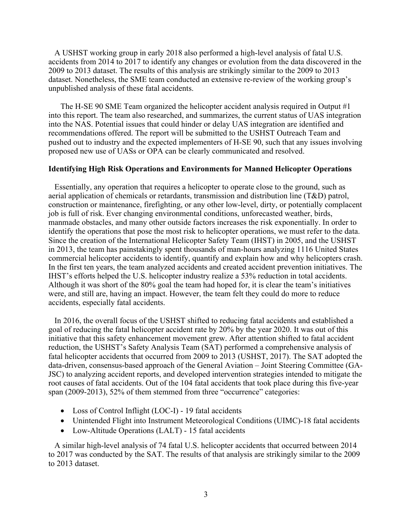A USHST working group in early 2018 also performed a high-level analysis of fatal U.S. accidents from 2014 to 2017 to identify any changes or evolution from the data discovered in the 2009 to 2013 dataset. The results of this analysis are strikingly similar to the 2009 to 2013 dataset. Nonetheless, the SME team conducted an extensive re-review of the working group's unpublished analysis of these fatal accidents.

 The H-SE 90 SME Team organized the helicopter accident analysis required in Output #1 into this report. The team also researched, and summarizes, the current status of UAS integration into the NAS. Potential issues that could hinder or delay UAS integration are identified and recommendations offered. The report will be submitted to the USHST Outreach Team and pushed out to industry and the expected implementers of H-SE 90, such that any issues involving proposed new use of UASs or OPA can be clearly communicated and resolved.

# **Identifying High Risk Operations and Environments for Manned Helicopter Operations**

 Essentially, any operation that requires a helicopter to operate close to the ground, such as aerial application of chemicals or retardants, transmission and distribution line (T&D) patrol, construction or maintenance, firefighting, or any other low-level, dirty, or potentially complacent job is full of risk. Ever changing environmental conditions, unforecasted weather, birds, manmade obstacles, and many other outside factors increases the risk exponentially. In order to identify the operations that pose the most risk to helicopter operations, we must refer to the data. Since the creation of the International Helicopter Safety Team (IHST) in 2005, and the USHST in 2013, the team has painstakingly spent thousands of man-hours analyzing 1116 United States commercial helicopter accidents to identify, quantify and explain how and why helicopters crash. In the first ten years, the team analyzed accidents and created accident prevention initiatives. The IHST's efforts helped the U.S. helicopter industry realize a 53% reduction in total accidents. Although it was short of the 80% goal the team had hoped for, it is clear the team's initiatives were, and still are, having an impact. However, the team felt they could do more to reduce accidents, especially fatal accidents.

 In 2016, the overall focus of the USHST shifted to reducing fatal accidents and established a goal of reducing the fatal helicopter accident rate by 20% by the year 2020. It was out of this initiative that this safety enhancement movement grew. After attention shifted to fatal accident reduction, the USHST's Safety Analysis Team (SAT) performed a comprehensive analysis of fatal helicopter accidents that occurred from 2009 to 2013 (USHST, 2017). The SAT adopted the data-driven, consensus-based approach of the General Aviation – Joint Steering Committee (GA-JSC) to analyzing accident reports, and developed intervention strategies intended to mitigate the root causes of fatal accidents. Out of the 104 fatal accidents that took place during this five-year span (2009-2013), 52% of them stemmed from three "occurrence" categories:

- Loss of Control Inflight (LOC-I) 19 fatal accidents
- Unintended Flight into Instrument Meteorological Conditions (UIMC)-18 fatal accidents
- Low-Altitude Operations (LALT) 15 fatal accidents

 A similar high-level analysis of 74 fatal U.S. helicopter accidents that occurred between 2014 to 2017 was conducted by the SAT. The results of that analysis are strikingly similar to the 2009 to 2013 dataset.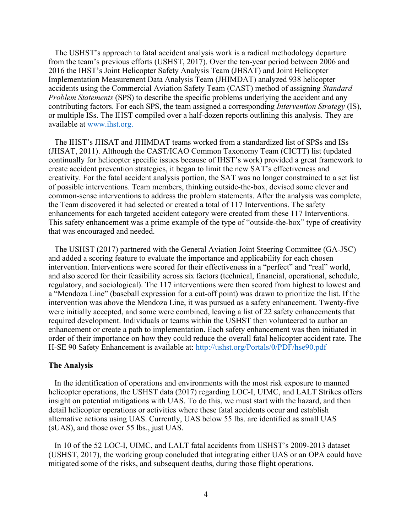The USHST's approach to fatal accident analysis work is a radical methodology departure from the team's previous efforts (USHST, 2017). Over the ten-year period between 2006 and 2016 the IHST's Joint Helicopter Safety Analysis Team (JHSAT) and Joint Helicopter Implementation Measurement Data Analysis Team (JHIMDAT) analyzed 938 helicopter accidents using the Commercial Aviation Safety Team (CAST) method of assigning *Standard Problem Statements* (SPS) to describe the specific problems underlying the accident and any contributing factors. For each SPS, the team assigned a corresponding *Intervention Strategy* (IS), or multiple ISs. The IHST compiled over a half-dozen reports outlining this analysis. They are available at www.ihst.org.

 The IHST's JHSAT and JHIMDAT teams worked from a standardized list of SPSs and ISs (JHSAT, 2011). Although the CAST/ICAO Common Taxonomy Team (CICTT) list (updated continually for helicopter specific issues because of IHST's work) provided a great framework to create accident prevention strategies, it began to limit the new SAT's effectiveness and creativity. For the fatal accident analysis portion, the SAT was no longer constrained to a set list of possible interventions. Team members, thinking outside-the-box, devised some clever and common-sense interventions to address the problem statements. After the analysis was complete, the Team discovered it had selected or created a total of 117 Interventions. The safety enhancements for each targeted accident category were created from these 117 Interventions. This safety enhancement was a prime example of the type of "outside-the-box" type of creativity that was encouraged and needed.

 The USHST (2017) partnered with the General Aviation Joint Steering Committee (GA-JSC) and added a scoring feature to evaluate the importance and applicability for each chosen intervention. Interventions were scored for their effectiveness in a "perfect" and "real" world, and also scored for their feasibility across six factors (technical, financial, operational, schedule, regulatory, and sociological). The 117 interventions were then scored from highest to lowest and a "Mendoza Line" (baseball expression for a cut-off point) was drawn to prioritize the list. If the intervention was above the Mendoza Line, it was pursued as a safety enhancement. Twenty-five were initially accepted, and some were combined, leaving a list of 22 safety enhancements that required development. Individuals or teams within the USHST then volunteered to author an enhancement or create a path to implementation. Each safety enhancement was then initiated in order of their importance on how they could reduce the overall fatal helicopter accident rate. The H-SE 90 Safety Enhancement is available at: http://ushst.org/Portals/0/PDF/hse90.pdf

# **The Analysis**

In the identification of operations and environments with the most risk exposure to manned helicopter operations, the USHST data (2017) regarding LOC-I, UIMC, and LALT Strikes offers insight on potential mitigations with UAS. To do this, we must start with the hazard, and then detail helicopter operations or activities where these fatal accidents occur and establish alternative actions using UAS. Currently, UAS below 55 lbs. are identified as small UAS (sUAS), and those over 55 lbs., just UAS.

 In 10 of the 52 LOC-I, UIMC, and LALT fatal accidents from USHST's 2009-2013 dataset (USHST, 2017), the working group concluded that integrating either UAS or an OPA could have mitigated some of the risks, and subsequent deaths, during those flight operations.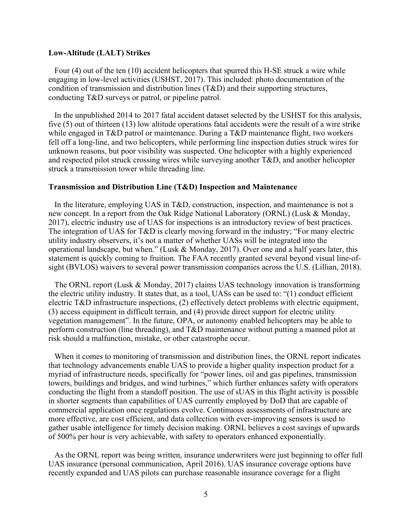#### **Low-Altitude (LALT) Strikes**

 Four (4) out of the ten (10) accident helicopters that spurred this H-SE struck a wire while engaging in low-level activities (USHST, 2017). This included: photo documentation of the condition of transmission and distribution lines (T&D) and their supporting structures, conducting T&D surveys or patrol, or pipeline patrol.

 In the unpublished 2014 to 2017 fatal accident dataset selected by the USHST for this analysis, five (5) out of thirteen (13) low altitude operations fatal accidents were the result of a wire strike while engaged in T&D patrol or maintenance. During a T&D maintenance flight, two workers fell off a long-line, and two helicopters, while performing line inspection duties struck wires for unknown reasons, but poor visibility was suspected. One helicopter with a highly experienced and respected pilot struck crossing wires while surveying another T&D, and another helicopter struck a transmission tower while threading line.

# **Transmission and Distribution Line (T&D) Inspection and Maintenance**

 In the literature, employing UAS in T&D, construction, inspection, and maintenance is not a new concept. In a report from the Oak Ridge National Laboratory (ORNL) (Lusk & Monday, 2017), electric industry use of UAS for inspections is an introductory review of best practices. The integration of UAS for T&D is clearly moving forward in the industry; "For many electric utility industry observers, it's not a matter of whether UASs will be integrated into the operational landscape, but when." (Lusk & Monday, 2017). Over one and a half years later, this statement is quickly coming to fruition. The FAA recently granted several beyond visual line-ofsight (BVLOS) waivers to several power transmission companies across the U.S. (Lillian, 2018).

 The ORNL report (Lusk & Monday, 2017) claims UAS technology innovation is transforming the electric utility industry. It states that, as a tool, UASs can be used to: "(1) conduct efficient electric T&D infrastructure inspections, (2) effectively detect problems with electric equipment, (3) access equipment in difficult terrain, and (4) provide direct support for electric utility vegetation management". In the future, OPA, or autonomy enabled helicopters may be able to perform construction (line threading), and T&D maintenance without putting a manned pilot at risk should a malfunction, mistake, or other catastrophe occur.

 When it comes to monitoring of transmission and distribution lines, the ORNL report indicates that technology advancements enable UAS to provide a higher quality inspection product for a myriad of infrastructure needs, specifically for "power lines, oil and gas pipelines, transmission towers, buildings and bridges, and wind turbines," which further enhances safety with operators conducting the flight from a standoff position. The use of sUAS in this flight activity is possible in shorter segments than capabilities of UAS currently employed by DoD that are capable of commercial application once regulations evolve. Continuous assessments of infrastructure are more effective, are cost efficient, and data collection with ever-improving sensors is used to gather usable intelligence for timely decision making. ORNL believes a cost savings of upwards of 500% per hour is very achievable, with safety to operators enhanced exponentially.

 As the ORNL report was being written, insurance underwriters were just beginning to offer full UAS insurance (personal communication, April 2016). UAS insurance coverage options have recently expanded and UAS pilots can purchase reasonable insurance coverage for a flight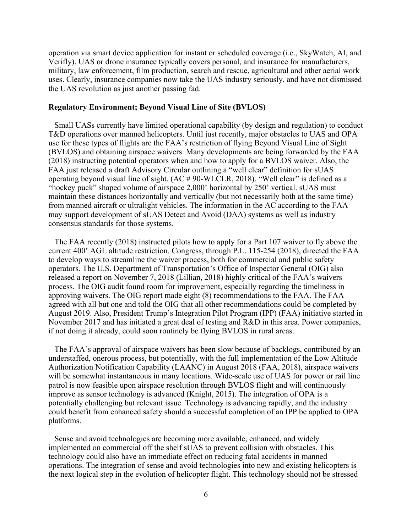operation via smart device application for instant or scheduled coverage (i.e., SkyWatch, AI, and Verifly). UAS or drone insurance typically covers personal, and insurance for manufacturers, military, law enforcement, film production, search and rescue, agricultural and other aerial work uses. Clearly, insurance companies now take the UAS industry seriously, and have not dismissed the UAS revolution as just another passing fad.

### **Regulatory Environment; Beyond Visual Line of Site (BVLOS)**

 Small UASs currently have limited operational capability (by design and regulation) to conduct T&D operations over manned helicopters. Until just recently, major obstacles to UAS and OPA use for these types of flights are the FAA's restriction of flying Beyond Visual Line of Sight (BVLOS) and obtaining airspace waivers. Many developments are being forwarded by the FAA (2018) instructing potential operators when and how to apply for a BVLOS waiver. Also, the FAA just released a draft Advisory Circular outlining a "well clear" definition for sUAS operating beyond visual line of sight. (AC # 90-WLCLR, 2018). "Well clear" is defined as a "hockey puck" shaped volume of airspace 2,000' horizontal by 250' vertical. sUAS must maintain these distances horizontally and vertically (but not necessarily both at the same time) from manned aircraft or ultralight vehicles. The information in the AC according to the FAA may support development of sUAS Detect and Avoid (DAA) systems as well as industry consensus standards for those systems.

 The FAA recently (2018) instructed pilots how to apply for a Part 107 waiver to fly above the current 400' AGL altitude restriction. Congress, through P.L. 115-254 (2018), directed the FAA to develop ways to streamline the waiver process, both for commercial and public safety operators. The U.S. Department of Transportation's Office of Inspector General (OIG) also released a report on November 7, 2018 (Lillian, 2018) highly critical of the FAA's waivers process. The OIG audit found room for improvement, especially regarding the timeliness in approving waivers. The OIG report made eight (8) recommendations to the FAA. The FAA agreed with all but one and told the OIG that all other recommendations could be completed by August 2019. Also, President Trump's Integration Pilot Program (IPP) (FAA) initiative started in November 2017 and has initiated a great deal of testing and R&D in this area. Power companies, if not doing it already, could soon routinely be flying BVLOS in rural areas.

 The FAA's approval of airspace waivers has been slow because of backlogs, contributed by an understaffed, onerous process, but potentially, with the full implementation of the Low Altitude Authorization Notification Capability (LAANC) in August 2018 (FAA, 2018), airspace waivers will be somewhat instantaneous in many locations. Wide-scale use of UAS for power or rail line patrol is now feasible upon airspace resolution through BVLOS flight and will continuously improve as sensor technology is advanced (Knight, 2015). The integration of OPA is a potentially challenging but relevant issue. Technology is advancing rapidly, and the industry could benefit from enhanced safety should a successful completion of an IPP be applied to OPA platforms.

 Sense and avoid technologies are becoming more available, enhanced, and widely implemented on commercial off the shelf sUAS to prevent collision with obstacles. This technology could also have an immediate effect on reducing fatal accidents in manned operations. The integration of sense and avoid technologies into new and existing helicopters is the next logical step in the evolution of helicopter flight. This technology should not be stressed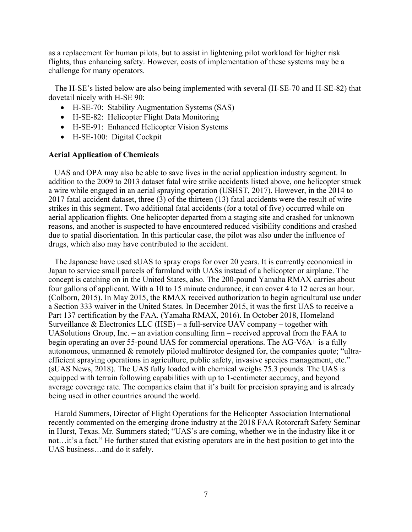as a replacement for human pilots, but to assist in lightening pilot workload for higher risk flights, thus enhancing safety. However, costs of implementation of these systems may be a challenge for many operators.

 The H-SE's listed below are also being implemented with several (H-SE-70 and H-SE-82) that dovetail nicely with H-SE 90:

- H-SE-70: Stability Augmentation Systems (SAS)
- H-SE-82: Helicopter Flight Data Monitoring
- H-SE-91: Enhanced Helicopter Vision Systems
- H-SE-100: Digital Cockpit

# **Aerial Application of Chemicals**

 UAS and OPA may also be able to save lives in the aerial application industry segment. In addition to the 2009 to 2013 dataset fatal wire strike accidents listed above, one helicopter struck a wire while engaged in an aerial spraying operation (USHST, 2017). However, in the 2014 to 2017 fatal accident dataset, three (3) of the thirteen (13) fatal accidents were the result of wire strikes in this segment. Two additional fatal accidents (for a total of five) occurred while on aerial application flights. One helicopter departed from a staging site and crashed for unknown reasons, and another is suspected to have encountered reduced visibility conditions and crashed due to spatial disorientation. In this particular case, the pilot was also under the influence of drugs, which also may have contributed to the accident.

 The Japanese have used sUAS to spray crops for over 20 years. It is currently economical in Japan to service small parcels of farmland with UASs instead of a helicopter or airplane. The concept is catching on in the United States, also. The 200-pound Yamaha RMAX carries about four gallons of applicant. With a 10 to 15 minute endurance, it can cover 4 to 12 acres an hour. (Colborn, 2015). In May 2015, the RMAX received authorization to begin agricultural use under a Section 333 waiver in the United States. In December 2015, it was the first UAS to receive a Part 137 certification by the FAA. (Yamaha RMAX, 2016). In October 2018, Homeland Surveillance & Electronics LLC (HSE) – a full-service UAV company – together with UASolutions Group, Inc. – an aviation consulting firm – received approval from the FAA to begin operating an over 55-pound UAS for commercial operations. The AG-V6A+ is a fully autonomous, unmanned & remotely piloted multirotor designed for, the companies quote; "ultraefficient spraying operations in agriculture, public safety, invasive species management, etc." (sUAS News, 2018). The UAS fully loaded with chemical weighs 75.3 pounds. The UAS is equipped with terrain following capabilities with up to 1-centimeter accuracy, and beyond average coverage rate. The companies claim that it's built for precision spraying and is already being used in other countries around the world.

 Harold Summers, Director of Flight Operations for the Helicopter Association International recently commented on the emerging drone industry at the 2018 FAA Rotorcraft Safety Seminar in Hurst, Texas. Mr. Summers stated; "UAS's are coming, whether we in the industry like it or not…it's a fact." He further stated that existing operators are in the best position to get into the UAS business…and do it safely.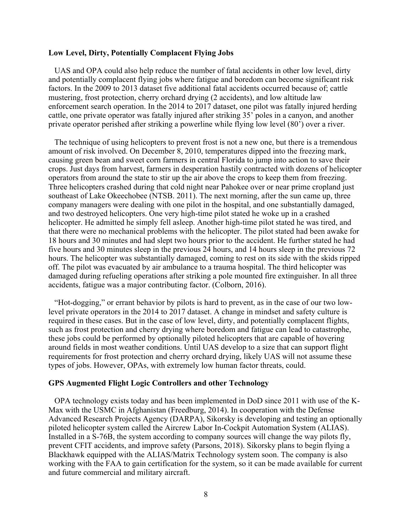# **Low Level, Dirty, Potentially Complacent Flying Jobs**

 UAS and OPA could also help reduce the number of fatal accidents in other low level, dirty and potentially complacent flying jobs where fatigue and boredom can become significant risk factors. In the 2009 to 2013 dataset five additional fatal accidents occurred because of; cattle mustering, frost protection, cherry orchard drying (2 accidents), and low altitude law enforcement search operation. In the 2014 to 2017 dataset, one pilot was fatally injured herding cattle, one private operator was fatally injured after striking 35' poles in a canyon, and another private operator perished after striking a powerline while flying low level (80') over a river.

 The technique of using helicopters to prevent frost is not a new one, but there is a tremendous amount of risk involved. On December 8, 2010, temperatures dipped into the freezing mark, causing green bean and sweet corn farmers in central Florida to jump into action to save their crops. Just days from harvest, farmers in desperation hastily contracted with dozens of helicopter operators from around the state to stir up the air above the crops to keep them from freezing. Three helicopters crashed during that cold night near Pahokee over or near prime cropland just southeast of Lake Okeechobee (NTSB. 2011). The next morning, after the sun came up, three company managers were dealing with one pilot in the hospital, and one substantially damaged, and two destroyed helicopters. One very high-time pilot stated he woke up in a crashed helicopter. He admitted he simply fell asleep. Another high-time pilot stated he was tired, and that there were no mechanical problems with the helicopter. The pilot stated had been awake for 18 hours and 30 minutes and had slept two hours prior to the accident. He further stated he had five hours and 30 minutes sleep in the previous 24 hours, and 14 hours sleep in the previous 72 hours. The helicopter was substantially damaged, coming to rest on its side with the skids ripped off. The pilot was evacuated by air ambulance to a trauma hospital. The third helicopter was damaged during refueling operations after striking a pole mounted fire extinguisher. In all three accidents, fatigue was a major contributing factor. (Colborn, 2016).

 "Hot-dogging," or errant behavior by pilots is hard to prevent, as in the case of our two lowlevel private operators in the 2014 to 2017 dataset. A change in mindset and safety culture is required in these cases. But in the case of low level, dirty, and potentially complacent flights, such as frost protection and cherry drying where boredom and fatigue can lead to catastrophe, these jobs could be performed by optionally piloted helicopters that are capable of hovering around fields in most weather conditions. Until UAS develop to a size that can support flight requirements for frost protection and cherry orchard drying, likely UAS will not assume these types of jobs. However, OPAs, with extremely low human factor threats, could.

#### **GPS Augmented Flight Logic Controllers and other Technology**

 OPA technology exists today and has been implemented in DoD since 2011 with use of the K-Max with the USMC in Afghanistan (Freedburg, 2014). In cooperation with the Defense Advanced Research Projects Agency (DARPA), Sikorsky is developing and testing an optionally piloted helicopter system called the Aircrew Labor In-Cockpit Automation System (ALIAS). Installed in a S-76B, the system according to company sources will change the way pilots fly, prevent CFIT accidents, and improve safety (Parsons, 2018). Sikorsky plans to begin flying a Blackhawk equipped with the ALIAS/Matrix Technology system soon. The company is also working with the FAA to gain certification for the system, so it can be made available for current and future commercial and military aircraft.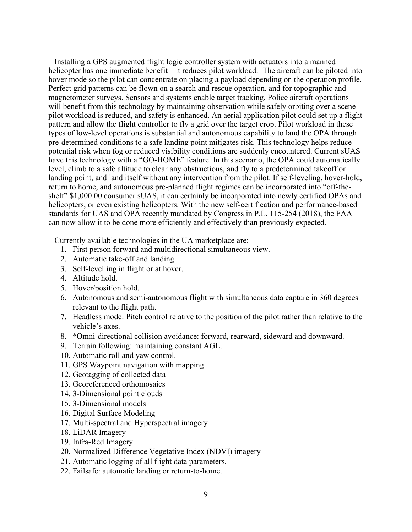Installing a GPS augmented flight logic controller system with actuators into a manned helicopter has one immediate benefit – it reduces pilot workload. The aircraft can be piloted into hover mode so the pilot can concentrate on placing a payload depending on the operation profile. Perfect grid patterns can be flown on a search and rescue operation, and for topographic and magnetometer surveys. Sensors and systems enable target tracking. Police aircraft operations will benefit from this technology by maintaining observation while safely orbiting over a scene – pilot workload is reduced, and safety is enhanced. An aerial application pilot could set up a flight pattern and allow the flight controller to fly a grid over the target crop. Pilot workload in these types of low-level operations is substantial and autonomous capability to land the OPA through pre-determined conditions to a safe landing point mitigates risk. This technology helps reduce potential risk when fog or reduced visibility conditions are suddenly encountered. Current sUAS have this technology with a "GO-HOME" feature. In this scenario, the OPA could automatically level, climb to a safe altitude to clear any obstructions, and fly to a predetermined takeoff or landing point, and land itself without any intervention from the pilot. If self-leveling, hover-hold, return to home, and autonomous pre-planned flight regimes can be incorporated into "off-theshelf" \$1,000.00 consumer sUAS, it can certainly be incorporated into newly certified OPAs and helicopters, or even existing helicopters. With the new self-certification and performance-based standards for UAS and OPA recently mandated by Congress in P.L. 115-254 (2018), the FAA can now allow it to be done more efficiently and effectively than previously expected.

Currently available technologies in the UA marketplace are:

- 1. First person forward and multidirectional simultaneous view.
- 2. Automatic take-off and landing.
- 3. Self-levelling in flight or at hover.
- 4. Altitude hold.
- 5. Hover/position hold.
- 6. Autonomous and semi-autonomous flight with simultaneous data capture in 360 degrees relevant to the flight path.
- 7. Headless mode: Pitch control relative to the position of the pilot rather than relative to the vehicle's axes.
- 8. \*Omni-directional collision avoidance: forward, rearward, sideward and downward.
- 9. Terrain following: maintaining constant AGL.
- 10. Automatic roll and yaw control.
- 11. GPS Waypoint navigation with mapping.
- 12. Geotagging of collected data
- 13. Georeferenced orthomosaics
- 14. 3-Dimensional point clouds
- 15. 3-Dimensional models
- 16. Digital Surface Modeling
- 17. Multi-spectral and Hyperspectral imagery
- 18. LiDAR Imagery
- 19. Infra-Red Imagery
- 20. Normalized Difference Vegetative Index (NDVI) imagery
- 21. Automatic logging of all flight data parameters.
- 22. Failsafe: automatic landing or return-to-home.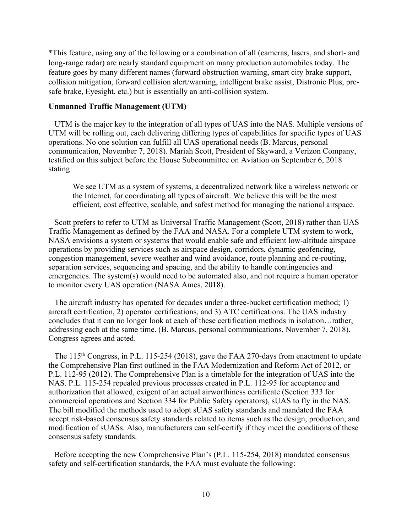\*This feature, using any of the following or a combination of all (cameras, lasers, and short- and long-range radar) are nearly standard equipment on many production automobiles today. The feature goes by many different names (forward obstruction warning, smart city brake support, collision mitigation, forward collision alert/warning, intelligent brake assist, Distronic Plus, presafe brake, Eyesight, etc.) but is essentially an anti-collision system.

### **Unmanned Traffic Management (UTM)**

 UTM is the major key to the integration of all types of UAS into the NAS. Multiple versions of UTM will be rolling out, each delivering differing types of capabilities for specific types of UAS operations. No one solution can fulfill all UAS operational needs (B. Marcus, personal communication, November 7, 2018). Mariah Scott, President of Skyward, a Verizon Company, testified on this subject before the House Subcommittee on Aviation on September 6, 2018 stating:

We see UTM as a system of systems, a decentralized network like a wireless network or the Internet, for coordinating all types of aircraft. We believe this will be the most efficient, cost effective, scalable, and safest method for managing the national airspace.

 Scott prefers to refer to UTM as Universal Traffic Management (Scott, 2018) rather than UAS Traffic Management as defined by the FAA and NASA. For a complete UTM system to work, NASA envisions a system or systems that would enable safe and efficient low-altitude airspace operations by providing services such as airspace design, corridors, dynamic geofencing, congestion management, severe weather and wind avoidance, route planning and re-routing, separation services, sequencing and spacing, and the ability to handle contingencies and emergencies. The system(s) would need to be automated also, and not require a human operator to monitor every UAS operation (NASA Ames, 2018).

 The aircraft industry has operated for decades under a three-bucket certification method; 1) aircraft certification, 2) operator certifications, and 3) ATC certifications. The UAS industry concludes that it can no longer look at each of these certification methods in isolation…rather, addressing each at the same time. (B. Marcus, personal communications, November 7, 2018). Congress agrees and acted.

The 115<sup>th</sup> Congress, in P.L. 115-254 (2018), gave the FAA 270-days from enactment to update the Comprehensive Plan first outlined in the FAA Modernization and Reform Act of 2012, or P.L. 112-95 (2012). The Comprehensive Plan is a timetable for the integration of UAS into the NAS. P.L. 115-254 repealed previous processes created in P.L. 112-95 for acceptance and authorization that allowed, exigent of an actual airworthiness certificate (Section 333 for commercial operations and Section 334 for Public Safety operators), sUAS to fly in the NAS. The bill modified the methods used to adopt sUAS safety standards and mandated the FAA accept risk-based consensus safety standards related to items such as the design, production, and modification of sUASs. Also, manufacturers can self-certify if they meet the conditions of these consensus safety standards.

 Before accepting the new Comprehensive Plan's (P.L. 115-254, 2018) mandated consensus safety and self-certification standards, the FAA must evaluate the following: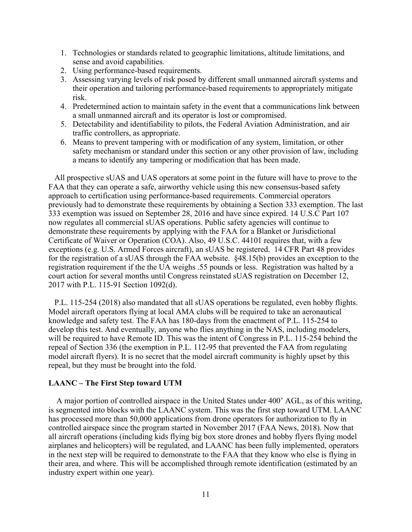- 1. Technologies or standards related to geographic limitations, altitude limitations, and sense and avoid capabilities.
- 2. Using performance-based requirements.
- 3. Assessing varying levels of risk posed by different small unmanned aircraft systems and their operation and tailoring performance-based requirements to appropriately mitigate risk.
- 4. Predetermined action to maintain safety in the event that a communications link between a small unmanned aircraft and its operator is lost or compromised.
- 5. Detectability and identifiability to pilots, the Federal Aviation Administration, and air traffic controllers, as appropriate.
- 6. Means to prevent tampering with or modification of any system, limitation, or other safety mechanism or standard under this section or any other provision of law, including a means to identify any tampering or modification that has been made.

 All prospective sUAS and UAS operators at some point in the future will have to prove to the FAA that they can operate a safe, airworthy vehicle using this new consensus-based safety approach to certification using performance-based requirements. Commercial operators previously had to demonstrate these requirements by obtaining a Section 333 exemption. The last 333 exemption was issued on September 28, 2016 and have since expired. 14 U.S.C Part 107 now regulates all commercial sUAS operations. Public safety agencies will continue to demonstrate these requirements by applying with the FAA for a Blanket or Jurisdictional Certificate of Waiver or Operation (COA). Also, 49 U.S.C. 44101 requires that, with a few exceptions (e.g. U.S. Armed Forces aircraft), an sUAS be registered. 14 CFR Part 48 provides for the registration of a sUAS through the FAA website. §48.15(b) provides an exception to the registration requirement if the the UA weighs .55 pounds or less. Registration was halted by a court action for several months until Congress reinstated sUAS registration on December 12, 2017 with P.L. 115-91 Section 1092(d).

 P.L. 115-254 (2018) also mandated that all sUAS operations be regulated, even hobby flights. Model aircraft operators flying at local AMA clubs will be required to take an aeronautical knowledge and safety test. The FAA has 180-days from the enactment of P.L. 115-254 to develop this test. And eventually, anyone who flies anything in the NAS, including modelers, will be required to have Remote ID. This was the intent of Congress in P.L. 115-254 behind the repeal of Section 336 (the exemption in P.L. 112-95 that prevented the FAA from regulating model aircraft flyers). It is no secret that the model aircraft community is highly upset by this repeal, but they must be brought into the fold.

# **LAANC – The First Step toward UTM**

 A major portion of controlled airspace in the United States under 400' AGL, as of this writing, is segmented into blocks with the LAANC system. This was the first step toward UTM. LAANC has processed more than 50,000 applications from drone operators for authorization to fly in controlled airspace since the program started in November 2017 (FAA News, 2018). Now that all aircraft operations (including kids flying big box store drones and hobby flyers flying model airplanes and helicopters) will be regulated, and LAANC has been fully implemented, operators in the next step will be required to demonstrate to the FAA that they know who else is flying in their area, and where. This will be accomplished through remote identification (estimated by an industry expert within one year).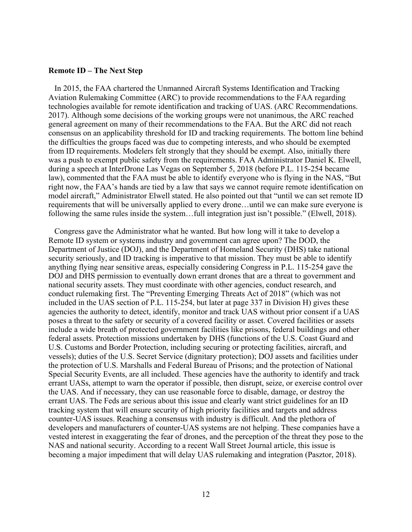#### **Remote ID – The Next Step**

 In 2015, the FAA chartered the Unmanned Aircraft Systems Identification and Tracking Aviation Rulemaking Committee (ARC) to provide recommendations to the FAA regarding technologies available for remote identification and tracking of UAS. (ARC Recommendations. 2017). Although some decisions of the working groups were not unanimous, the ARC reached general agreement on many of their recommendations to the FAA. But the ARC did not reach consensus on an applicability threshold for ID and tracking requirements. The bottom line behind the difficulties the groups faced was due to competing interests, and who should be exempted from ID requirements. Modelers felt strongly that they should be exempt. Also, initially there was a push to exempt public safety from the requirements. FAA Administrator Daniel K. Elwell, during a speech at InterDrone Las Vegas on September 5, 2018 (before P.L. 115-254 became law), commented that the FAA must be able to identify everyone who is flying in the NAS, "But right now, the FAA's hands are tied by a law that says we cannot require remote identification on model aircraft," Administrator Elwell stated. He also pointed out that "until we can set remote ID requirements that will be universally applied to every drone…until we can make sure everyone is following the same rules inside the system…full integration just isn't possible." (Elwell, 2018).

 Congress gave the Administrator what he wanted. But how long will it take to develop a Remote ID system or systems industry and government can agree upon? The DOD, the Department of Justice (DOJ), and the Department of Homeland Security (DHS) take national security seriously, and ID tracking is imperative to that mission. They must be able to identify anything flying near sensitive areas, especially considering Congress in P.L. 115-254 gave the DOJ and DHS permission to eventually down errant drones that are a threat to government and national security assets. They must coordinate with other agencies, conduct research, and conduct rulemaking first. The "Preventing Emerging Threats Act of 2018" (which was not included in the UAS section of P.L. 115-254, but later at page 337 in Division H) gives these agencies the authority to detect, identify, monitor and track UAS without prior consent if a UAS poses a threat to the safety or security of a covered facility or asset. Covered facilities or assets include a wide breath of protected government facilities like prisons, federal buildings and other federal assets. Protection missions undertaken by DHS (functions of the U.S. Coast Guard and U.S. Customs and Border Protection, including securing or protecting facilities, aircraft, and vessels); duties of the U.S. Secret Service (dignitary protection); DOJ assets and facilities under the protection of U.S. Marshalls and Federal Bureau of Prisons; and the protection of National Special Security Events, are all included. These agencies have the authority to identify and track errant UASs, attempt to warn the operator if possible, then disrupt, seize, or exercise control over the UAS. And if necessary, they can use reasonable force to disable, damage, or destroy the errant UAS. The Feds are serious about this issue and clearly want strict guidelines for an ID tracking system that will ensure security of high priority facilities and targets and address counter-UAS issues. Reaching a consensus with industry is difficult. And the plethora of developers and manufacturers of counter-UAS systems are not helping. These companies have a vested interest in exaggerating the fear of drones, and the perception of the threat they pose to the NAS and national security. According to a recent Wall Street Journal article, this issue is becoming a major impediment that will delay UAS rulemaking and integration (Pasztor, 2018).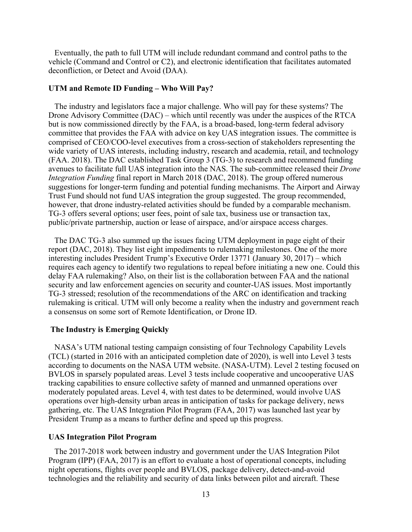Eventually, the path to full UTM will include redundant command and control paths to the vehicle (Command and Control or C2), and electronic identification that facilitates automated deconfliction, or Detect and Avoid (DAA).

# **UTM and Remote ID Funding – Who Will Pay?**

 The industry and legislators face a major challenge. Who will pay for these systems? The Drone Advisory Committee (DAC) – which until recently was under the auspices of the RTCA but is now commissioned directly by the FAA, is a broad-based, long-term federal advisory committee that provides the FAA with advice on key UAS integration issues. The committee is comprised of CEO/COO-level executives from a cross-section of stakeholders representing the wide variety of UAS interests, including industry, research and academia, retail, and technology (FAA. 2018). The DAC established Task Group 3 (TG-3) to research and recommend funding avenues to facilitate full UAS integration into the NAS. The sub-committee released their *Drone Integration Funding* final report in March 2018 (DAC, 2018). The group offered numerous suggestions for longer-term funding and potential funding mechanisms. The Airport and Airway Trust Fund should not fund UAS integration the group suggested. The group recommended, however, that drone industry-related activities should be funded by a comparable mechanism. TG-3 offers several options; user fees, point of sale tax, business use or transaction tax, public/private partnership, auction or lease of airspace, and/or airspace access charges.

 The DAC TG-3 also summed up the issues facing UTM deployment in page eight of their report (DAC, 2018). They list eight impediments to rulemaking milestones. One of the more interesting includes President Trump's Executive Order 13771 (January 30, 2017) – which requires each agency to identify two regulations to repeal before initiating a new one. Could this delay FAA rulemaking? Also, on their list is the collaboration between FAA and the national security and law enforcement agencies on security and counter-UAS issues. Most importantly TG-3 stressed; resolution of the recommendations of the ARC on identification and tracking rulemaking is critical. UTM will only become a reality when the industry and government reach a consensus on some sort of Remote Identification, or Drone ID.

# **The Industry is Emerging Quickly**

 NASA's UTM national testing campaign consisting of four Technology Capability Levels (TCL) (started in 2016 with an anticipated completion date of 2020), is well into Level 3 tests according to documents on the NASA UTM website. (NASA-UTM). Level 2 testing focused on BVLOS in sparsely populated areas. Level 3 tests include cooperative and uncooperative UAS tracking capabilities to ensure collective safety of manned and unmanned operations over moderately populated areas. Level 4, with test dates to be determined, would involve UAS operations over high-density urban areas in anticipation of tasks for package delivery, news gathering, etc. The UAS Integration Pilot Program (FAA, 2017) was launched last year by President Trump as a means to further define and speed up this progress.

# **UAS Integration Pilot Program**

 The 2017-2018 work between industry and government under the UAS Integration Pilot Program (IPP) (FAA, 2017) is an effort to evaluate a host of operational concepts, including night operations, flights over people and BVLOS, package delivery, detect-and-avoid technologies and the reliability and security of data links between pilot and aircraft. These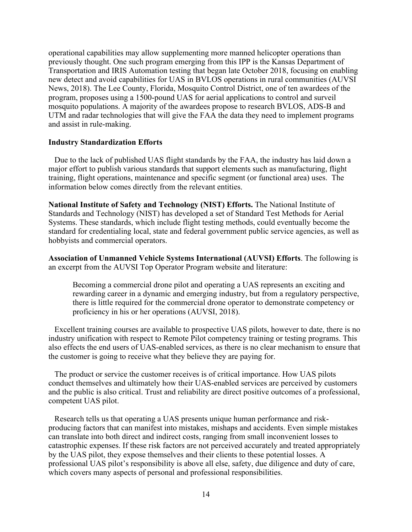operational capabilities may allow supplementing more manned helicopter operations than previously thought. One such program emerging from this IPP is the Kansas Department of Transportation and IRIS Automation testing that began late October 2018, focusing on enabling new detect and avoid capabilities for UAS in BVLOS operations in rural communities (AUVSI News, 2018). The Lee County, Florida, Mosquito Control District, one of ten awardees of the program, proposes using a 1500-pound UAS for aerial applications to control and surveil mosquito populations. A majority of the awardees propose to research BVLOS, ADS-B and UTM and radar technologies that will give the FAA the data they need to implement programs and assist in rule-making.

# **Industry Standardization Efforts**

 Due to the lack of published UAS flight standards by the FAA, the industry has laid down a major effort to publish various standards that support elements such as manufacturing, flight training, flight operations, maintenance and specific segment (or functional area) uses. The information below comes directly from the relevant entities.

**National Institute of Safety and Technology (NIST) Efforts.** The National Institute of Standards and Technology (NIST) has developed a set of Standard Test Methods for Aerial Systems. These standards, which include flight testing methods, could eventually become the standard for credentialing local, state and federal government public service agencies, as well as hobbyists and commercial operators.

**Association of Unmanned Vehicle Systems International (AUVSI) Efforts**. The following is an excerpt from the AUVSI Top Operator Program website and literature:

Becoming a commercial drone pilot and operating a UAS represents an exciting and rewarding career in a dynamic and emerging industry, but from a regulatory perspective, there is little required for the commercial drone operator to demonstrate competency or proficiency in his or her operations (AUVSI, 2018).

 Excellent training courses are available to prospective UAS pilots, however to date, there is no industry unification with respect to Remote Pilot competency training or testing programs. This also effects the end users of UAS-enabled services, as there is no clear mechanism to ensure that the customer is going to receive what they believe they are paying for.

 The product or service the customer receives is of critical importance. How UAS pilots conduct themselves and ultimately how their UAS-enabled services are perceived by customers and the public is also critical. Trust and reliability are direct positive outcomes of a professional, competent UAS pilot.

 Research tells us that operating a UAS presents unique human performance and riskproducing factors that can manifest into mistakes, mishaps and accidents. Even simple mistakes can translate into both direct and indirect costs, ranging from small inconvenient losses to catastrophic expenses. If these risk factors are not perceived accurately and treated appropriately by the UAS pilot, they expose themselves and their clients to these potential losses. A professional UAS pilot's responsibility is above all else, safety, due diligence and duty of care, which covers many aspects of personal and professional responsibilities.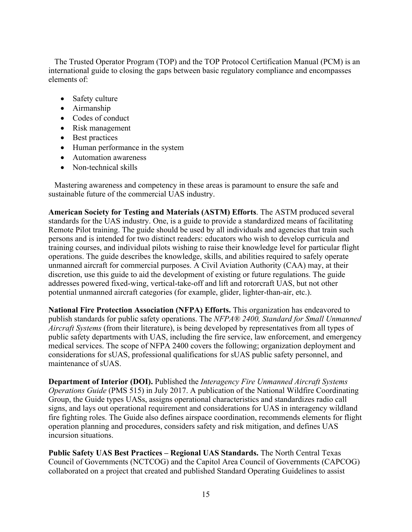The Trusted Operator Program (TOP) and the TOP Protocol Certification Manual (PCM) is an international guide to closing the gaps between basic regulatory compliance and encompasses elements of:

- Safety culture
- Airmanship
- Codes of conduct
- Risk management
- Best practices
- Human performance in the system
- Automation awareness
- Non-technical skills

 Mastering awareness and competency in these areas is paramount to ensure the safe and sustainable future of the commercial UAS industry.

**American Society for Testing and Materials (ASTM) Efforts**. The ASTM produced several standards for the UAS industry. One, is a guide to provide a standardized means of facilitating Remote Pilot training. The guide should be used by all individuals and agencies that train such persons and is intended for two distinct readers: educators who wish to develop curricula and training courses, and individual pilots wishing to raise their knowledge level for particular flight operations. The guide describes the knowledge, skills, and abilities required to safely operate unmanned aircraft for commercial purposes. A Civil Aviation Authority (CAA) may, at their discretion, use this guide to aid the development of existing or future regulations. The guide addresses powered fixed-wing, vertical-take-off and lift and rotorcraft UAS, but not other potential unmanned aircraft categories (for example, glider, lighter-than-air, etc.).

**National Fire Protection Association (NFPA) Efforts.** This organization has endeavored to publish standards for public safety operations. The *NFPA® 2400, Standard for Small Unmanned Aircraft Systems* (from their literature), is being developed by representatives from all types of public safety departments with UAS, including the fire service, law enforcement, and emergency medical services. The scope of NFPA 2400 covers the following; organization deployment and considerations for sUAS, professional qualifications for sUAS public safety personnel, and maintenance of sUAS.

**Department of Interior (DOI).** Published the *Interagency Fire Unmanned Aircraft Systems Operations Guide* (PMS 515) in July 2017. A publication of the National Wildfire Coordinating Group, the Guide types UASs, assigns operational characteristics and standardizes radio call signs, and lays out operational requirement and considerations for UAS in interagency wildland fire fighting roles. The Guide also defines airspace coordination, recommends elements for flight operation planning and procedures, considers safety and risk mitigation, and defines UAS incursion situations.

**Public Safety UAS Best Practices – Regional UAS Standards.** The North Central Texas Council of Governments (NCTCOG) and the Capitol Area Council of Governments (CAPCOG) collaborated on a project that created and published Standard Operating Guidelines to assist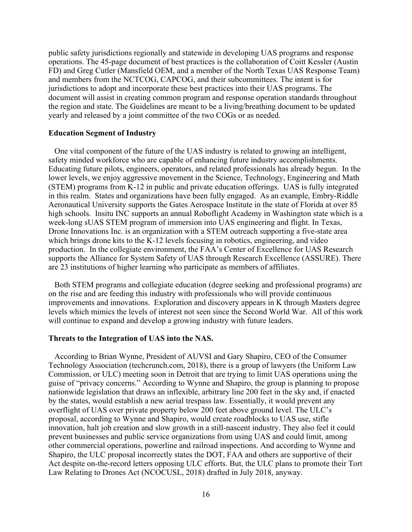public safety jurisdictions regionally and statewide in developing UAS programs and response operations. The 45-page document of best practices is the collaboration of Coitt Kessler (Austin FD) and Greg Cutler (Mansfield OEM, and a member of the North Texas UAS Response Team) and members from the NCTCOG, CAPCOG, and their subcommittees. The intent is for jurisdictions to adopt and incorporate these best practices into their UAS programs. The document will assist in creating common program and response operation standards throughout the region and state. The Guidelines are meant to be a living/breathing document to be updated yearly and released by a joint committee of the two COGs or as needed.

# **Education Segment of Industry**

 One vital component of the future of the UAS industry is related to growing an intelligent, safety minded workforce who are capable of enhancing future industry accomplishments. Educating future pilots, engineers, operators, and related professionals has already begun. In the lower levels, we enjoy aggressive movement in the Science, Technology, Engineering and Math (STEM) programs from K-12 in public and private education offerings. UAS is fully integrated in this realm. States and organizations have been fully engaged. As an example, Embry-Riddle Aeronautical University supports the Gates Aerospace Institute in the state of Florida at over 85 high schools. Insitu INC supports an annual Roboflight Academy in Washington state which is a week-long sUAS STEM program of immersion into UAS engineering and flight. In Texas, Drone Innovations Inc. is an organization with a STEM outreach supporting a five-state area which brings drone kits to the K-12 levels focusing in robotics, engineering, and video production. In the collegiate environment, the FAA's Center of Excellence for UAS Research supports the Alliance for System Safety of UAS through Research Excellence (ASSURE). There are 23 institutions of higher learning who participate as members of affiliates.

 Both STEM programs and collegiate education (degree seeking and professional programs) are on the rise and are feeding this industry with professionals who will provide continuous improvements and innovations. Exploration and discovery appears in K through Masters degree levels which mimics the levels of interest not seen since the Second World War. All of this work will continue to expand and develop a growing industry with future leaders.

#### **Threats to the Integration of UAS into the NAS.**

 According to Brian Wynne, President of AUVSI and Gary Shapiro, CEO of the Consumer Technology Association (techcrunch.com, 2018), there is a group of lawyers (the Uniform Law Commission, or ULC) meeting soon in Detroit that are trying to limit UAS operations using the guise of "privacy concerns." According to Wynne and Shapiro, the group is planning to propose nationwide legislation that draws an inflexible, arbitrary line 200 feet in the sky and, if enacted by the states, would establish a new aerial trespass law. Essentially, it would prevent any overflight of UAS over private property below 200 feet above ground level. The ULC's proposal, according to Wynne and Shapiro, would create roadblocks to UAS use, stifle innovation, halt job creation and slow growth in a still-nascent industry. They also feel it could prevent businesses and public service organizations from using UAS and could limit, among other commercial operations, powerline and railroad inspections. And according to Wynne and Shapiro, the ULC proposal incorrectly states the DOT, FAA and others are supportive of their Act despite on-the-record letters opposing ULC efforts. But, the ULC plans to promote their Tort Law Relating to Drones Act (NCOCUSL, 2018) drafted in July 2018, anyway.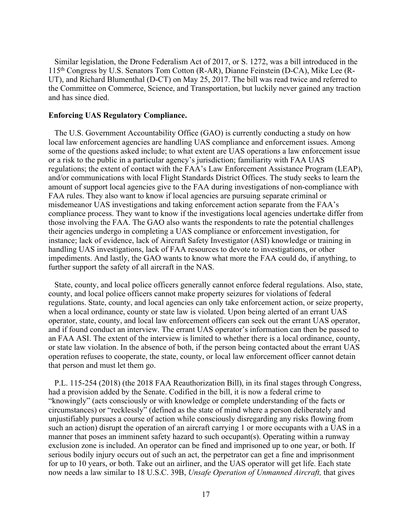Similar legislation, the Drone Federalism Act of 2017, or S. 1272, was a bill introduced in the 115th Congress by U.S. Senators Tom Cotton (R-AR), Dianne Feinstein (D-CA), Mike Lee (R-UT), and Richard Blumenthal (D-CT) on May 25, 2017. The bill was read twice and referred to the Committee on Commerce, Science, and Transportation, but luckily never gained any traction and has since died.

# **Enforcing UAS Regulatory Compliance.**

 The U.S. Government Accountability Office (GAO) is currently conducting a study on how local law enforcement agencies are handling UAS compliance and enforcement issues. Among some of the questions asked include; to what extent are UAS operations a law enforcement issue or a risk to the public in a particular agency's jurisdiction; familiarity with FAA UAS regulations; the extent of contact with the FAA's Law Enforcement Assistance Program (LEAP), and/or communications with local Flight Standards District Offices. The study seeks to learn the amount of support local agencies give to the FAA during investigations of non-compliance with FAA rules. They also want to know if local agencies are pursuing separate criminal or misdemeanor UAS investigations and taking enforcement action separate from the FAA's compliance process. They want to know if the investigations local agencies undertake differ from those involving the FAA. The GAO also wants the respondents to rate the potential challenges their agencies undergo in completing a UAS compliance or enforcement investigation, for instance; lack of evidence, lack of Aircraft Safety Investigator (ASI) knowledge or training in handling UAS investigations, lack of FAA resources to devote to investigations, or other impediments. And lastly, the GAO wants to know what more the FAA could do, if anything, to further support the safety of all aircraft in the NAS.

 State, county, and local police officers generally cannot enforce federal regulations. Also, state, county, and local police officers cannot make property seizures for violations of federal regulations. State, county, and local agencies can only take enforcement action, or seize property, when a local ordinance, county or state law is violated. Upon being alerted of an errant UAS operator, state, county, and local law enforcement officers can seek out the errant UAS operator, and if found conduct an interview. The errant UAS operator's information can then be passed to an FAA ASI. The extent of the interview is limited to whether there is a local ordinance, county, or state law violation. In the absence of both, if the person being contacted about the errant UAS operation refuses to cooperate, the state, county, or local law enforcement officer cannot detain that person and must let them go.

 P.L. 115-254 (2018) (the 2018 FAA Reauthorization Bill), in its final stages through Congress, had a provision added by the Senate. Codified in the bill, it is now a federal crime to "knowingly" (acts consciously or with knowledge or complete understanding of the facts or circumstances) or "recklessly" (defined as the state of mind where a person deliberately and unjustifiably pursues a course of action while consciously disregarding any risks flowing from such an action) disrupt the operation of an aircraft carrying 1 or more occupants with a UAS in a manner that poses an imminent safety hazard to such occupant(s). Operating within a runway exclusion zone is included. An operator can be fined and imprisoned up to one year, or both. If serious bodily injury occurs out of such an act, the perpetrator can get a fine and imprisonment for up to 10 years, or both. Take out an airliner, and the UAS operator will get life. Each state now needs a law similar to 18 U.S.C. 39B, *Unsafe Operation of Unmanned Aircraft,* that gives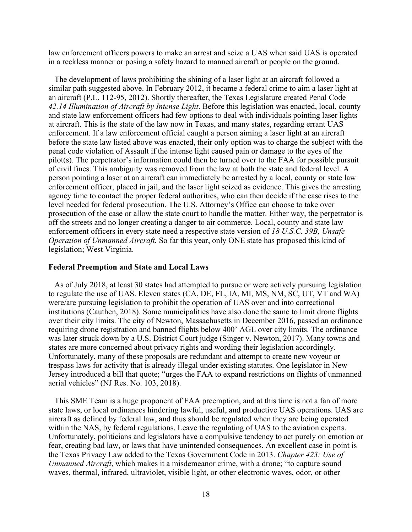law enforcement officers powers to make an arrest and seize a UAS when said UAS is operated in a reckless manner or posing a safety hazard to manned aircraft or people on the ground.

 The development of laws prohibiting the shining of a laser light at an aircraft followed a similar path suggested above. In February 2012, it became a federal crime to aim a laser light at an aircraft (P.L. 112-95, 2012). Shortly thereafter, the Texas Legislature created Penal Code *42.14 Illumination of Aircraft by Intense Light*. Before this legislation was enacted, local, county and state law enforcement officers had few options to deal with individuals pointing laser lights at aircraft. This is the state of the law now in Texas, and many states, regarding errant UAS enforcement. If a law enforcement official caught a person aiming a laser light at an aircraft before the state law listed above was enacted, their only option was to charge the subject with the penal code violation of Assault if the intense light caused pain or damage to the eyes of the pilot(s). The perpetrator's information could then be turned over to the FAA for possible pursuit of civil fines. This ambiguity was removed from the law at both the state and federal level. A person pointing a laser at an aircraft can immediately be arrested by a local, county or state law enforcement officer, placed in jail, and the laser light seized as evidence. This gives the arresting agency time to contact the proper federal authorities, who can then decide if the case rises to the level needed for federal prosecution. The U.S. Attorney's Office can choose to take over prosecution of the case or allow the state court to handle the matter. Either way, the perpetrator is off the streets and no longer creating a danger to air commerce. Local, county and state law enforcement officers in every state need a respective state version of *18 U.S.C. 39B, Unsafe Operation of Unmanned Aircraft.* So far this year, only ONE state has proposed this kind of legislation; West Virginia.

### **Federal Preemption and State and Local Laws**

 As of July 2018, at least 30 states had attempted to pursue or were actively pursuing legislation to regulate the use of UAS. Eleven states (CA, DE, FL, IA, MI, MS, NM, SC, UT, VT and WA) were/are pursuing legislation to prohibit the operation of UAS over and into correctional institutions (Cauthen, 2018). Some municipalities have also done the same to limit drone flights over their city limits. The city of Newton, Massachusetts in December 2016, passed an ordinance requiring drone registration and banned flights below 400' AGL over city limits. The ordinance was later struck down by a U.S. District Court judge (Singer v. Newton, 2017). Many towns and states are more concerned about privacy rights and wording their legislation accordingly. Unfortunately, many of these proposals are redundant and attempt to create new voyeur or trespass laws for activity that is already illegal under existing statutes. One legislator in New Jersey introduced a bill that quote; "urges the FAA to expand restrictions on flights of unmanned aerial vehicles" (NJ Res. No. 103, 2018).

 This SME Team is a huge proponent of FAA preemption, and at this time is not a fan of more state laws, or local ordinances hindering lawful, useful, and productive UAS operations. UAS are aircraft as defined by federal law, and thus should be regulated when they are being operated within the NAS, by federal regulations. Leave the regulating of UAS to the aviation experts. Unfortunately, politicians and legislators have a compulsive tendency to act purely on emotion or fear, creating bad law, or laws that have unintended consequences. An excellent case in point is the Texas Privacy Law added to the Texas Government Code in 2013. *Chapter 423: Use of Unmanned Aircraft*, which makes it a misdemeanor crime, with a drone; "to capture sound waves, thermal, infrared, ultraviolet, visible light, or other electronic waves, odor, or other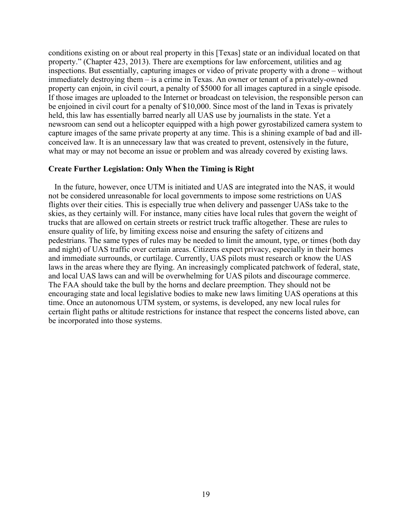conditions existing on or about real property in this [Texas] state or an individual located on that property." (Chapter 423, 2013). There are exemptions for law enforcement, utilities and ag inspections. But essentially, capturing images or video of private property with a drone – without immediately destroying them – is a crime in Texas. An owner or tenant of a privately-owned property can enjoin, in civil court, a penalty of \$5000 for all images captured in a single episode. If those images are uploaded to the Internet or broadcast on television, the responsible person can be enjoined in civil court for a penalty of \$10,000. Since most of the land in Texas is privately held, this law has essentially barred nearly all UAS use by journalists in the state. Yet a newsroom can send out a helicopter equipped with a high power gyrostabilized camera system to capture images of the same private property at any time. This is a shining example of bad and illconceived law. It is an unnecessary law that was created to prevent, ostensively in the future, what may or may not become an issue or problem and was already covered by existing laws.

# **Create Further Legislation: Only When the Timing is Right**

 In the future, however, once UTM is initiated and UAS are integrated into the NAS, it would not be considered unreasonable for local governments to impose some restrictions on UAS flights over their cities. This is especially true when delivery and passenger UASs take to the skies, as they certainly will. For instance, many cities have local rules that govern the weight of trucks that are allowed on certain streets or restrict truck traffic altogether. These are rules to ensure quality of life, by limiting excess noise and ensuring the safety of citizens and pedestrians. The same types of rules may be needed to limit the amount, type, or times (both day and night) of UAS traffic over certain areas. Citizens expect privacy, especially in their homes and immediate surrounds, or curtilage. Currently, UAS pilots must research or know the UAS laws in the areas where they are flying. An increasingly complicated patchwork of federal, state, and local UAS laws can and will be overwhelming for UAS pilots and discourage commerce. The FAA should take the bull by the horns and declare preemption. They should not be encouraging state and local legislative bodies to make new laws limiting UAS operations at this time. Once an autonomous UTM system, or systems, is developed, any new local rules for certain flight paths or altitude restrictions for instance that respect the concerns listed above, can be incorporated into those systems.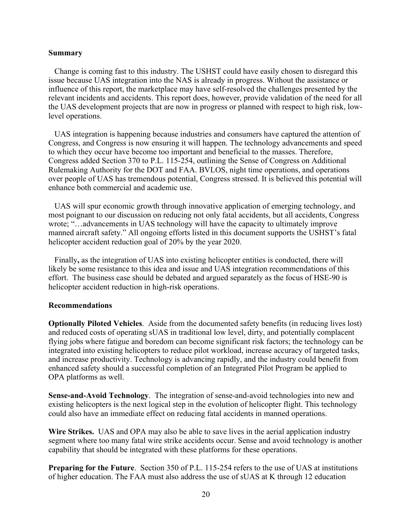# **Summary**

 Change is coming fast to this industry. The USHST could have easily chosen to disregard this issue because UAS integration into the NAS is already in progress. Without the assistance or influence of this report, the marketplace may have self-resolved the challenges presented by the relevant incidents and accidents. This report does, however, provide validation of the need for all the UAS development projects that are now in progress or planned with respect to high risk, lowlevel operations.

 UAS integration is happening because industries and consumers have captured the attention of Congress, and Congress is now ensuring it will happen. The technology advancements and speed to which they occur have become too important and beneficial to the masses. Therefore, Congress added Section 370 to P.L. 115-254, outlining the Sense of Congress on Additional Rulemaking Authority for the DOT and FAA. BVLOS, night time operations, and operations over people of UAS has tremendous potential, Congress stressed. It is believed this potential will enhance both commercial and academic use.

 UAS will spur economic growth through innovative application of emerging technology, and most poignant to our discussion on reducing not only fatal accidents, but all accidents, Congress wrote; "…advancements in UAS technology will have the capacity to ultimately improve manned aircraft safety." All ongoing efforts listed in this document supports the USHST's fatal helicopter accident reduction goal of 20% by the year 2020.

Finally**,** as the integration of UAS into existing helicopter entities is conducted, there will likely be some resistance to this idea and issue and UAS integration recommendations of this effort. The business case should be debated and argued separately as the focus of HSE-90 is helicopter accident reduction in high-risk operations.

#### **Recommendations**

**Optionally Piloted Vehicles**. Aside from the documented safety benefits (in reducing lives lost) and reduced costs of operating sUAS in traditional low level, dirty, and potentially complacent flying jobs where fatigue and boredom can become significant risk factors; the technology can be integrated into existing helicopters to reduce pilot workload, increase accuracy of targeted tasks, and increase productivity. Technology is advancing rapidly, and the industry could benefit from enhanced safety should a successful completion of an Integrated Pilot Program be applied to OPA platforms as well.

**Sense-and-Avoid Technology**. The integration of sense-and-avoid technologies into new and existing helicopters is the next logical step in the evolution of helicopter flight. This technology could also have an immediate effect on reducing fatal accidents in manned operations.

**Wire Strikes.** UAS and OPA may also be able to save lives in the aerial application industry segment where too many fatal wire strike accidents occur. Sense and avoid technology is another capability that should be integrated with these platforms for these operations.

**Preparing for the Future.** Section 350 of P.L. 115-254 refers to the use of UAS at institutions of higher education. The FAA must also address the use of sUAS at K through 12 education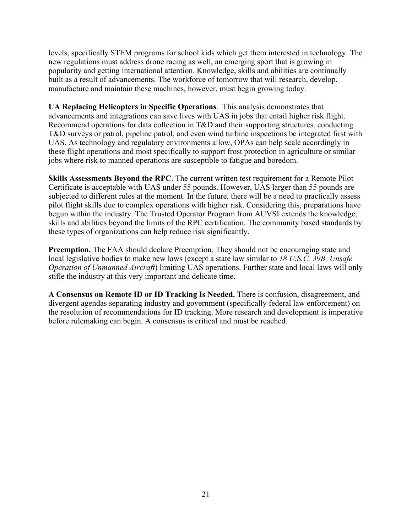levels, specifically STEM programs for school kids which get them interested in technology. The new regulations must address drone racing as well, an emerging sport that is growing in popularity and getting international attention. Knowledge, skills and abilities are continually built as a result of advancements. The workforce of tomorrow that will research, develop, manufacture and maintain these machines, however, must begin growing today.

**UA Replacing Helicopters in Specific Operations**. This analysis demonstrates that advancements and integrations can save lives with UAS in jobs that entail higher risk flight. Recommend operations for data collection in T&D and their supporting structures, conducting T&D surveys or patrol, pipeline patrol, and even wind turbine inspections be integrated first with UAS. As technology and regulatory environments allow, OPAs can help scale accordingly in these flight operations and most specifically to support frost protection in agriculture or similar jobs where risk to manned operations are susceptible to fatigue and boredom.

**Skills Assessments Beyond the RPC**. The current written test requirement for a Remote Pilot Certificate is acceptable with UAS under 55 pounds. However, UAS larger than 55 pounds are subjected to different rules at the moment. In the future, there will be a need to practically assess pilot flight skills due to complex operations with higher risk. Considering this, preparations have begun within the industry. The Trusted Operator Program from AUVSI extends the knowledge, skills and abilities beyond the limits of the RPC certification. The community based standards by these types of organizations can help reduce risk significantly.

**Preemption.** The FAA should declare Preemption. They should not be encouraging state and local legislative bodies to make new laws (except a state law similar to *18 U.S.C. 39B, Unsafe Operation of Unmanned Aircraft*) limiting UAS operations. Further state and local laws will only stifle the industry at this very important and delicate time.

**A Consensus on Remote ID or ID Tracking Is Needed.** There is confusion, disagreement, and divergent agendas separating industry and government (specifically federal law enforcement) on the resolution of recommendations for ID tracking. More research and development is imperative before rulemaking can begin. A consensus is critical and must be reached.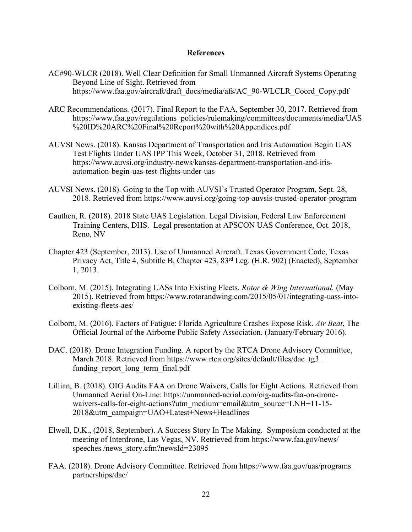# **References**

- AC#90-WLCR (2018). Well Clear Definition for Small Unmanned Aircraft Systems Operating Beyond Line of Sight. Retrieved from https://www.faa.gov/aircraft/draft\_docs/media/afs/AC\_90-WLCLR\_Coord\_Copy.pdf
- ARC Recommendations. (2017). Final Report to the FAA, September 30, 2017. Retrieved from https://www.faa.gov/regulations\_policies/rulemaking/committees/documents/media/UAS %20ID%20ARC%20Final%20Report%20with%20Appendices.pdf
- AUVSI News. (2018). Kansas Department of Transportation and Iris Automation Begin UAS Test Flights Under UAS IPP This Week, October 31, 2018. Retrieved from https://www.auvsi.org/industry-news/kansas-department-transportation-and-irisautomation-begin-uas-test-flights-under-uas
- AUVSI News. (2018). Going to the Top with AUVSI's Trusted Operator Program, Sept. 28, 2018. Retrieved from https://www.auvsi.org/going-top-auvsis-trusted-operator-program
- Cauthen, R. (2018). 2018 State UAS Legislation. Legal Division, Federal Law Enforcement Training Centers, DHS. Legal presentation at APSCON UAS Conference, Oct. 2018, Reno, NV
- Chapter 423 (September, 2013). Use of Unmanned Aircraft. Texas Government Code, Texas Privacy Act, Title 4, Subtitle B, Chapter 423, 83rd Leg. (H.R. 902) (Enacted), September 1, 2013.
- Colborn, M. (2015). Integrating UASs Into Existing Fleets. *Rotor & Wing International.* (May 2015). Retrieved from https://www.rotorandwing.com/2015/05/01/integrating-uass-intoexisting-fleets-aes/
- Colborn, M. (2016). Factors of Fatigue: Florida Agriculture Crashes Expose Risk. *Air Beat*, The Official Journal of the Airborne Public Safety Association. (January/February 2016).
- DAC. (2018). Drone Integration Funding. A report by the RTCA Drone Advisory Committee, March 2018. Retrieved from https://www.rtca.org/sites/default/files/dac\_tg3 funding report long term final.pdf
- Lillian, B. (2018). OIG Audits FAA on Drone Waivers, Calls for Eight Actions. Retrieved from Unmanned Aerial On-Line: https://unmanned-aerial.com/oig-audits-faa-on-dronewaivers-calls-for-eight-actions?utm\_medium=email&utm\_source=LNH+11-15-2018&utm\_campaign=UAO+Latest+News+Headlines
- Elwell, D.K., (2018, September). A Success Story In The Making. Symposium conducted at the meeting of Interdrone, Las Vegas, NV. Retrieved from https://www.faa.gov/news/ speeches /news\_story.cfm?newsId=23095
- FAA. (2018). Drone Advisory Committee. Retrieved from https://www.faa.gov/uas/programs\_ partnerships/dac/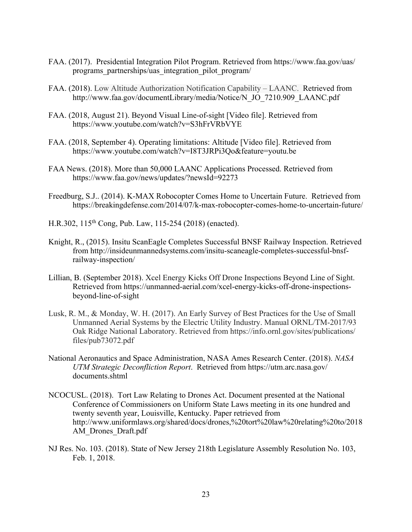- FAA. (2017). Presidential Integration Pilot Program. Retrieved from https://www.faa.gov/uas/ programs\_partnerships/uas\_integration\_pilot\_program/
- FAA. (2018). Low Altitude Authorization Notification Capability LAANC. Retrieved from http://www.faa.gov/documentLibrary/media/Notice/N\_JO\_7210.909\_LAANC.pdf
- FAA. (2018, August 21). Beyond Visual Line-of-sight [Video file]. Retrieved from https://www.youtube.com/watch?v=S3hFrVRbVYE
- FAA. (2018, September 4). Operating limitations: Altitude [Video file]. Retrieved from https://www.youtube.com/watch?v=I8T3JRPi3Qo&feature=youtu.be
- FAA News. (2018). More than 50,000 LAANC Applications Processed. Retrieved from https://www.faa.gov/news/updates/?newsId=92273
- Freedburg, S.J.. (2014). K-MAX Robocopter Comes Home to Uncertain Future. Retrieved from https://breakingdefense.com/2014/07/k-max-robocopter-comes-home-to-uncertain-future/
- H.R.302, 115th Cong, Pub. Law, 115-254 (2018) (enacted).
- Knight, R., (2015). Insitu ScanEagle Completes Successful BNSF Railway Inspection. Retrieved from http://insideunmannedsystems.com/insitu-scaneagle-completes-successful-bnsfrailway-inspection/
- Lillian, B. (September 2018). Xcel Energy Kicks Off Drone Inspections Beyond Line of Sight. Retrieved from https://unmanned-aerial.com/xcel-energy-kicks-off-drone-inspectionsbeyond-line-of-sight
- Lusk, R. M., & Monday, W. H. (2017). An Early Survey of Best Practices for the Use of Small Unmanned Aerial Systems by the Electric Utility Industry. Manual ORNL/TM-2017/93 Oak Ridge National Laboratory. Retrieved from https://info.ornl.gov/sites/publications/ files/pub73072.pdf
- National Aeronautics and Space Administration, NASA Ames Research Center. (2018). *NASA UTM Strategic Deconfliction Report*. Retrieved from https://utm.arc.nasa.gov/ documents.shtml
- NCOCUSL. (2018). Tort Law Relating to Drones Act. Document presented at the National Conference of Commissioners on Uniform State Laws meeting in its one hundred and twenty seventh year, Louisville, Kentucky. Paper retrieved from http://www.uniformlaws.org/shared/docs/drones,%20tort%20law%20relating%20to/2018 AM\_Drones\_Draft.pdf
- NJ Res. No. 103. (2018). State of New Jersey 218th Legislature Assembly Resolution No. 103, Feb. 1, 2018.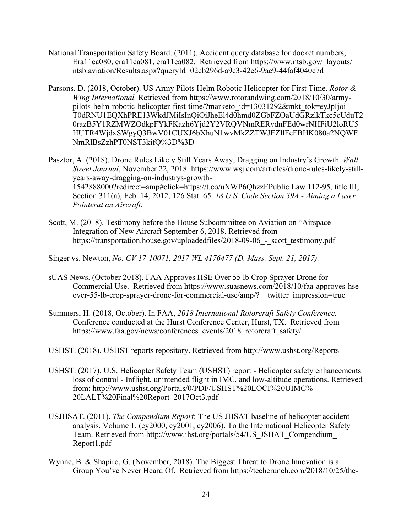- National Transportation Safety Board. (2011). Accident query database for docket numbers; Era11ca080, era11ca081, era11ca082. Retrieved from https://www.ntsb.gov/ layouts/ ntsb.aviation/Results.aspx?queryId=02cb296d-a9c3-42e6-9ae9-44faf4040e7d
- Parsons, D. (2018, October). US Army Pilots Helm Robotic Helicopter for First Time. *Rotor & Wing International.* Retrieved from https://www.rotorandwing.com/2018/10/30/armypilots-helm-robotic-helicopter-first-time/?marketo\_id=13031292&mkt\_tok=eyJpIjoi T0dRNU1EQXhPRE13WkdJMiIsInQiOiJheEl4d0hmd0ZGbFZOaUdGRzlkTkc5cUduT2 0razB5Y1RZMWZOdkpFYkFKazh6Yjd2Y2VRQVNmRERvdnFEd0wrNHFiU2loRU5 HUTR4WjdxSWgyQ3BwV01CUXJ6bXhuN1wvMkZZTWJEZllFeFBHK080a2NQWF NmRlBsZzhPT0NST3kifQ%3D%3D
- Pasztor, A. (2018). Drone Rules Likely Still Years Away, Dragging on Industry's Growth. *Wall Street Journal*, November 22, 2018. https://www.wsj.com/articles/drone-rules-likely-stillyears-away-dragging-on-industrys-growth-1542888000?redirect=amp#click=https://t.co/uXWP6QhzzEPublic Law 112-95, title III, Section 311(a), Feb. 14, 2012, 126 Stat. 65. *18 U.S. Code Section 39A - Aiming a Laser Pointerat an Aircraft*.
- Scott, M. (2018). Testimony before the House Subcommittee on Aviation on "Airspace Integration of New Aircraft September 6, 2018. Retrieved from https://transportation.house.gov/uploadedfiles/2018-09-06 - scott testimony.pdf
- Singer vs. Newton, *No. CV 17-10071, 2017 WL 4176477 (D. Mass. Sept. 21, 2017).*
- sUAS News. (October 2018). FAA Approves HSE Over 55 lb Crop Sprayer Drone for Commercial Use. Retrieved from https://www.suasnews.com/2018/10/faa-approves-hseover-55-lb-crop-sprayer-drone-for-commercial-use/amp/? twitter impression=true
- Summers, H. (2018, October). In FAA, *2018 International Rotorcraft Safety Conference*. Conference conducted at the Hurst Conference Center, Hurst, TX. Retrieved from https://www.faa.gov/news/conferences\_events/2018\_rotorcraft\_safety/
- USHST. (2018). USHST reports repository. Retrieved from http://www.ushst.org/Reports
- USHST. (2017). U.S. Helicopter Safety Team (USHST) report Helicopter safety enhancements loss of control - Inflight, unintended flight in IMC, and low-altitude operations. Retrieved from: http://www.ushst.org/Portals/0/PDF/USHST%20LOCI%20UIMC% 20LALT%20Final%20Report\_2017Oct3.pdf
- USJHSAT. (2011). *The Compendium Report*: The US JHSAT baseline of helicopter accident analysis. Volume 1. (cy2000, cy2001, cy2006). To the International Helicopter Safety Team. Retrieved from http://www.ihst.org/portals/54/US\_JSHAT\_Compendium\_ Report1.pdf
- Wynne, B. & Shapiro, G. (November, 2018). The Biggest Threat to Drone Innovation is a Group You've Never Heard Of. Retrieved from https://techcrunch.com/2018/10/25/the-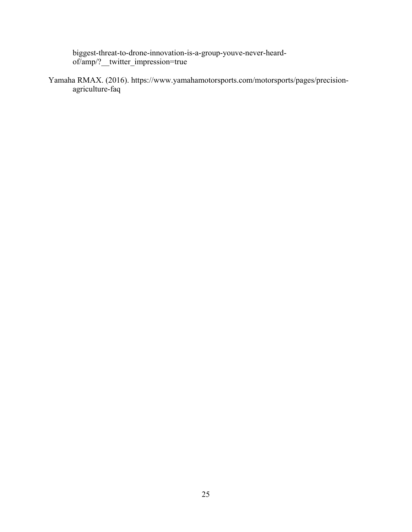biggest-threat-to-drone-innovation-is-a-group-youve-never-heardof/amp/?\_\_twitter\_impression=true

Yamaha RMAX. (2016). https://www.yamahamotorsports.com/motorsports/pages/precisionagriculture-faq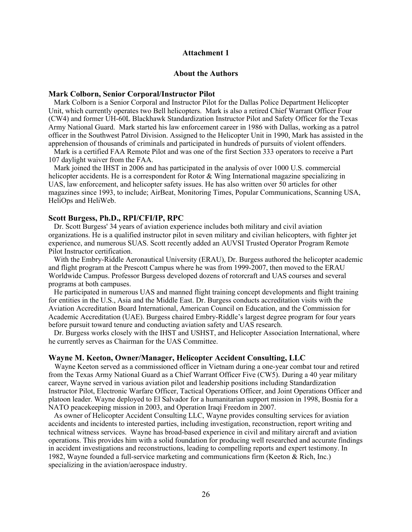#### **Attachment 1**

### **About the Authors**

#### **Mark Colborn, Senior Corporal/Instructor Pilot**

 Mark Colborn is a Senior Corporal and Instructor Pilot for the Dallas Police Department Helicopter Unit, which currently operates two Bell helicopters. Mark is also a retired Chief Warrant Officer Four (CW4) and former UH-60L Blackhawk Standardization Instructor Pilot and Safety Officer for the Texas Army National Guard. Mark started his law enforcement career in 1986 with Dallas, working as a patrol officer in the Southwest Patrol Division. Assigned to the Helicopter Unit in 1990, Mark has assisted in the apprehension of thousands of criminals and participated in hundreds of pursuits of violent offenders.

 Mark is a certified FAA Remote Pilot and was one of the first Section 333 operators to receive a Part 107 daylight waiver from the FAA.

 Mark joined the IHST in 2006 and has participated in the analysis of over 1000 U.S. commercial helicopter accidents. He is a correspondent for Rotor & Wing International magazine specializing in UAS, law enforcement, and helicopter safety issues. He has also written over 50 articles for other magazines since 1993, to include; AirBeat, Monitoring Times, Popular Communications, Scanning USA, HeliOps and HeliWeb.

#### **Scott Burgess, Ph.D., RPI/CFI/IP, RPC**

 Dr. Scott Burgess' 34 years of aviation experience includes both military and civil aviation organizations. He is a qualified instructor pilot in seven military and civilian helicopters, with fighter jet experience, and numerous SUAS. Scott recently added an AUVSI Trusted Operator Program Remote Pilot Instructor certification.

 With the Embry-Riddle Aeronautical University (ERAU), Dr. Burgess authored the helicopter academic and flight program at the Prescott Campus where he was from 1999-2007, then moved to the ERAU Worldwide Campus. Professor Burgess developed dozens of rotorcraft and UAS courses and several programs at both campuses.

 He participated in numerous UAS and manned flight training concept developments and flight training for entities in the U.S., Asia and the Middle East. Dr. Burgess conducts accreditation visits with the Aviation Accreditation Board International, American Council on Education, and the Commission for Academic Accreditation (UAE). Burgess chaired Embry-Riddle's largest degree program for four years before pursuit toward tenure and conducting aviation safety and UAS research.

 Dr. Burgess works closely with the IHST and USHST, and Helicopter Association International, where he currently serves as Chairman for the UAS Committee.

#### **Wayne M. Keeton, Owner/Manager, Helicopter Accident Consulting, LLC**

 Wayne Keeton served as a commissioned officer in Vietnam during a one-year combat tour and retired from the Texas Army National Guard as a Chief Warrant Officer Five (CW5). During a 40 year military career, Wayne served in various aviation pilot and leadership positions including Standardization Instructor Pilot, Electronic Warfare Officer, Tactical Operations Officer, and Joint Operations Officer and platoon leader. Wayne deployed to El Salvador for a humanitarian support mission in 1998, Bosnia for a NATO peacekeeping mission in 2003, and Operation Iraqi Freedom in 2007.

 As owner of Helicopter Accident Consulting LLC, Wayne provides consulting services for aviation accidents and incidents to interested parties, including investigation, reconstruction, report writing and technical witness services. Wayne has broad-based experience in civil and military aircraft and aviation operations. This provides him with a solid foundation for producing well researched and accurate findings in accident investigations and reconstructions, leading to compelling reports and expert testimony. In 1982, Wayne founded a full-service marketing and communications firm (Keeton & Rich, Inc.) specializing in the aviation/aerospace industry.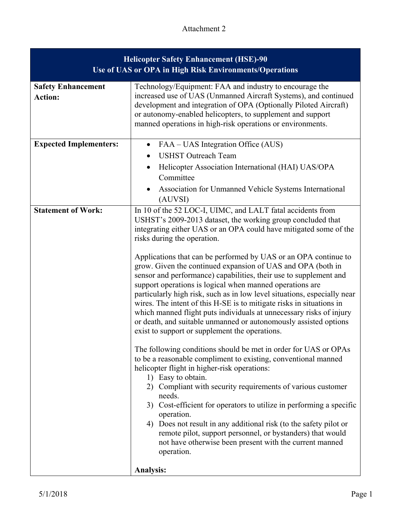# Attachment 2

| <b>Helicopter Safety Enhancement (HSE)-90</b><br>Use of UAS or OPA in High Risk Environments/Operations |                                                                                                                                                                                                                                                                                                                                                                                                                                                                                                                                                                                                                                                                                                                                                                                                                                                                                                                                                                                                                                                                                                                                                                                                                                                                                                                                                                                                                                                            |  |
|---------------------------------------------------------------------------------------------------------|------------------------------------------------------------------------------------------------------------------------------------------------------------------------------------------------------------------------------------------------------------------------------------------------------------------------------------------------------------------------------------------------------------------------------------------------------------------------------------------------------------------------------------------------------------------------------------------------------------------------------------------------------------------------------------------------------------------------------------------------------------------------------------------------------------------------------------------------------------------------------------------------------------------------------------------------------------------------------------------------------------------------------------------------------------------------------------------------------------------------------------------------------------------------------------------------------------------------------------------------------------------------------------------------------------------------------------------------------------------------------------------------------------------------------------------------------------|--|
| <b>Safety Enhancement</b><br><b>Action:</b>                                                             | Technology/Equipment: FAA and industry to encourage the<br>increased use of UAS (Unmanned Aircraft Systems), and continued<br>development and integration of OPA (Optionally Piloted Aircraft)<br>or autonomy-enabled helicopters, to supplement and support<br>manned operations in high-risk operations or environments.                                                                                                                                                                                                                                                                                                                                                                                                                                                                                                                                                                                                                                                                                                                                                                                                                                                                                                                                                                                                                                                                                                                                 |  |
| <b>Expected Implementers:</b>                                                                           | FAA – UAS Integration Office (AUS)<br><b>USHST Outreach Team</b><br>Helicopter Association International (HAI) UAS/OPA<br>$\bullet$<br>Committee<br>Association for Unmanned Vehicle Systems International<br>(AUVSI)                                                                                                                                                                                                                                                                                                                                                                                                                                                                                                                                                                                                                                                                                                                                                                                                                                                                                                                                                                                                                                                                                                                                                                                                                                      |  |
| <b>Statement of Work:</b>                                                                               | In 10 of the 52 LOC-I, UIMC, and LALT fatal accidents from<br>USHST's 2009-2013 dataset, the working group concluded that<br>integrating either UAS or an OPA could have mitigated some of the<br>risks during the operation.<br>Applications that can be performed by UAS or an OPA continue to<br>grow. Given the continued expansion of UAS and OPA (both in<br>sensor and performance) capabilities, their use to supplement and<br>support operations is logical when manned operations are<br>particularly high risk, such as in low level situations, especially near<br>wires. The intent of this H-SE is to mitigate risks in situations in<br>which manned flight puts individuals at unnecessary risks of injury<br>or death, and suitable unmanned or autonomously assisted options<br>exist to support or supplement the operations.<br>The following conditions should be met in order for UAS or OPAs<br>to be a reasonable compliment to existing, conventional manned<br>helicopter flight in higher-risk operations:<br>1) Easy to obtain.<br>2) Compliant with security requirements of various customer<br>needs.<br>3) Cost-efficient for operators to utilize in performing a specific<br>operation.<br>4) Does not result in any additional risk (to the safety pilot or<br>remote pilot, support personnel, or bystanders) that would<br>not have otherwise been present with the current manned<br>operation.<br><b>Analysis:</b> |  |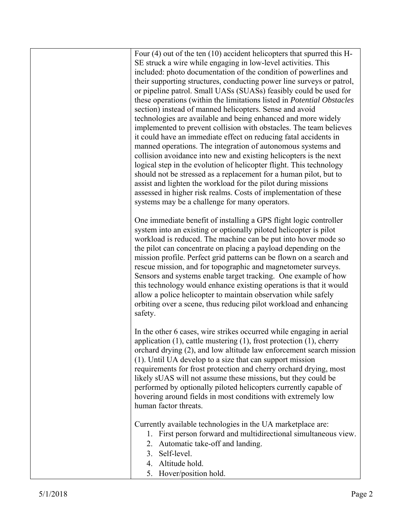| Four $(4)$ out of the ten $(10)$ accident helicopters that spurred this H-   |
|------------------------------------------------------------------------------|
| SE struck a wire while engaging in low-level activities. This                |
| included: photo documentation of the condition of powerlines and             |
| their supporting structures, conducting power line surveys or patrol,        |
| or pipeline patrol. Small UASs (SUASs) feasibly could be used for            |
| these operations (within the limitations listed in Potential Obstacles       |
| section) instead of manned helicopters. Sense and avoid                      |
| technologies are available and being enhanced and more widely                |
| implemented to prevent collision with obstacles. The team believes           |
| it could have an immediate effect on reducing fatal accidents in             |
| manned operations. The integration of autonomous systems and                 |
| collision avoidance into new and existing helicopters is the next            |
| logical step in the evolution of helicopter flight. This technology          |
| should not be stressed as a replacement for a human pilot, but to            |
| assist and lighten the workload for the pilot during missions                |
| assessed in higher risk realms. Costs of implementation of these             |
| systems may be a challenge for many operators.                               |
| One immediate benefit of installing a GPS flight logic controller            |
| system into an existing or optionally piloted helicopter is pilot            |
| workload is reduced. The machine can be put into hover mode so               |
| the pilot can concentrate on placing a payload depending on the              |
| mission profile. Perfect grid patterns can be flown on a search and          |
| rescue mission, and for topographic and magnetometer surveys.                |
| Sensors and systems enable target tracking. One example of how               |
| this technology would enhance existing operations is that it would           |
| allow a police helicopter to maintain observation while safely               |
| orbiting over a scene, thus reducing pilot workload and enhancing            |
| safety.                                                                      |
|                                                                              |
| In the other 6 cases, wire strikes occurred while engaging in aerial         |
| application $(1)$ , cattle mustering $(1)$ , frost protection $(1)$ , cherry |
| orchard drying (2), and low altitude law enforcement search mission          |
| (1). Until UA develop to a size that can support mission                     |
| requirements for frost protection and cherry orchard drying, most            |
| likely sUAS will not assume these missions, but they could be                |
| performed by optionally piloted helicopters currently capable of             |
| hovering around fields in most conditions with extremely low                 |
| human factor threats.                                                        |
| Currently available technologies in the UA marketplace are:                  |
| First person forward and multidirectional simultaneous view.<br>1.           |
| Automatic take-off and landing.<br>2.                                        |
| Self-level.<br>3.                                                            |
| Altitude hold.<br>4.                                                         |
| Hover/position hold.<br>5.                                                   |
|                                                                              |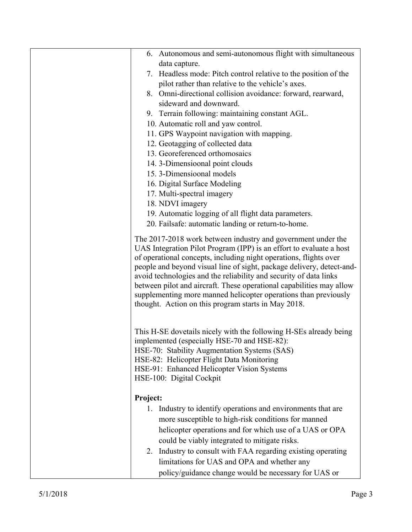| 6. Autonomous and semi-autonomous flight with simultaneous                                                                               |
|------------------------------------------------------------------------------------------------------------------------------------------|
| data capture.                                                                                                                            |
| 7. Headless mode: Pitch control relative to the position of the                                                                          |
| pilot rather than relative to the vehicle's axes.                                                                                        |
| 8. Omni-directional collision avoidance: forward, rearward,                                                                              |
| sideward and downward.                                                                                                                   |
| 9. Terrain following: maintaining constant AGL.                                                                                          |
| 10. Automatic roll and yaw control.                                                                                                      |
| 11. GPS Waypoint navigation with mapping.                                                                                                |
| 12. Geotagging of collected data                                                                                                         |
| 13. Georeferenced orthomosaics                                                                                                           |
| 14. 3-Dimensioonal point clouds                                                                                                          |
| 15.3-Dimensioonal models                                                                                                                 |
| 16. Digital Surface Modeling                                                                                                             |
| 17. Multi-spectral imagery                                                                                                               |
| 18. NDVI imagery                                                                                                                         |
| 19. Automatic logging of all flight data parameters.                                                                                     |
| 20. Failsafe: automatic landing or return-to-home.                                                                                       |
|                                                                                                                                          |
| The 2017-2018 work between industry and government under the                                                                             |
| UAS Integration Pilot Program (IPP) is an effort to evaluate a host<br>of operational concepts, including night operations, flights over |
| people and beyond visual line of sight, package delivery, detect-and-                                                                    |
| avoid technologies and the reliability and security of data links                                                                        |
| between pilot and aircraft. These operational capabilities may allow                                                                     |
| supplementing more manned helicopter operations than previously                                                                          |
| thought. Action on this program starts in May 2018.                                                                                      |
|                                                                                                                                          |
|                                                                                                                                          |
| This H-SE dovetails nicely with the following H-SEs already being                                                                        |
| implemented (especially HSE-70 and HSE-82):                                                                                              |
| HSE-70: Stability Augmentation Systems (SAS)                                                                                             |
| HSE-82: Helicopter Flight Data Monitoring                                                                                                |
| HSE-91: Enhanced Helicopter Vision Systems                                                                                               |
| HSE-100: Digital Cockpit                                                                                                                 |
|                                                                                                                                          |
| Project:                                                                                                                                 |
| Industry to identify operations and environments that are<br>1.                                                                          |
| more susceptible to high-risk conditions for manned                                                                                      |
| helicopter operations and for which use of a UAS or OPA                                                                                  |
| could be viably integrated to mitigate risks.                                                                                            |
| 2. Industry to consult with FAA regarding existing operating                                                                             |
| limitations for UAS and OPA and whether any                                                                                              |
| policy/guidance change would be necessary for UAS or                                                                                     |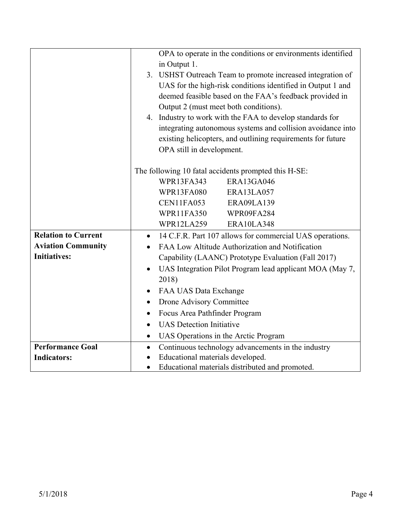|                            | OPA to operate in the conditions or environments identified           |  |  |
|----------------------------|-----------------------------------------------------------------------|--|--|
|                            | in Output 1.                                                          |  |  |
|                            | 3. USHST Outreach Team to promote increased integration of            |  |  |
|                            | UAS for the high-risk conditions identified in Output 1 and           |  |  |
|                            | deemed feasible based on the FAA's feedback provided in               |  |  |
|                            | Output 2 (must meet both conditions).                                 |  |  |
|                            | 4. Industry to work with the FAA to develop standards for             |  |  |
|                            | integrating autonomous systems and collision avoidance into           |  |  |
|                            | existing helicopters, and outlining requirements for future           |  |  |
|                            | OPA still in development.                                             |  |  |
|                            |                                                                       |  |  |
|                            | The following 10 fatal accidents prompted this H-SE:                  |  |  |
|                            | <b>ERA13GA046</b><br>WPR13FA343                                       |  |  |
|                            | <b>WPR13FA080</b><br>ERA13LA057                                       |  |  |
|                            | CEN11FA053<br>ERA09LA139                                              |  |  |
|                            | WPR11FA350<br>WPR09FA284                                              |  |  |
|                            | WPR12LA259<br>ERA10LA348                                              |  |  |
| <b>Relation to Current</b> | 14 C.F.R. Part 107 allows for commercial UAS operations.<br>$\bullet$ |  |  |
| <b>Aviation Community</b>  | FAA Low Altitude Authorization and Notification                       |  |  |
| <b>Initiatives:</b>        | Capability (LAANC) Prototype Evaluation (Fall 2017)                   |  |  |
|                            | UAS Integration Pilot Program lead applicant MOA (May 7,<br>$\bullet$ |  |  |
|                            | 2018)                                                                 |  |  |
|                            | FAA UAS Data Exchange                                                 |  |  |
|                            | Drone Advisory Committee<br>$\bullet$                                 |  |  |
|                            | Focus Area Pathfinder Program                                         |  |  |
|                            | <b>UAS</b> Detection Initiative                                       |  |  |
|                            | UAS Operations in the Arctic Program<br>$\bullet$                     |  |  |
| <b>Performance Goal</b>    | Continuous technology advancements in the industry<br>$\bullet$       |  |  |
| <b>Indicators:</b>         | Educational materials developed.                                      |  |  |
|                            | Educational materials distributed and promoted.                       |  |  |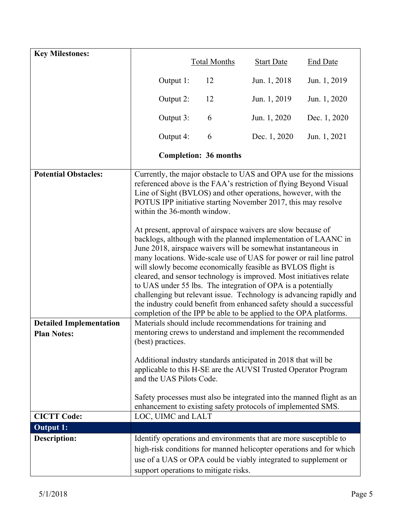| <b>Key Milestones:</b>                               |                                       | <b>Total Months</b>          | <b>Start Date</b>                                                                                                                                                                                                                                                                                                                                                                                                                                                                                                                                                                                                                                                                                                                                                                                                                                                                                                                                                           | <b>End Date</b> |
|------------------------------------------------------|---------------------------------------|------------------------------|-----------------------------------------------------------------------------------------------------------------------------------------------------------------------------------------------------------------------------------------------------------------------------------------------------------------------------------------------------------------------------------------------------------------------------------------------------------------------------------------------------------------------------------------------------------------------------------------------------------------------------------------------------------------------------------------------------------------------------------------------------------------------------------------------------------------------------------------------------------------------------------------------------------------------------------------------------------------------------|-----------------|
|                                                      | Output 1:                             | 12                           | Jun. 1, 2018                                                                                                                                                                                                                                                                                                                                                                                                                                                                                                                                                                                                                                                                                                                                                                                                                                                                                                                                                                | Jun. 1, 2019    |
|                                                      | Output 2:                             | 12                           | Jun. 1, 2019                                                                                                                                                                                                                                                                                                                                                                                                                                                                                                                                                                                                                                                                                                                                                                                                                                                                                                                                                                | Jun. 1, 2020    |
|                                                      | Output 3:                             | 6                            | Jun. 1, 2020                                                                                                                                                                                                                                                                                                                                                                                                                                                                                                                                                                                                                                                                                                                                                                                                                                                                                                                                                                | Dec. 1, 2020    |
|                                                      | Output 4:                             | 6                            | Dec. 1, 2020                                                                                                                                                                                                                                                                                                                                                                                                                                                                                                                                                                                                                                                                                                                                                                                                                                                                                                                                                                | Jun. 1, 2021    |
|                                                      |                                       | <b>Completion: 36 months</b> |                                                                                                                                                                                                                                                                                                                                                                                                                                                                                                                                                                                                                                                                                                                                                                                                                                                                                                                                                                             |                 |
| <b>Potential Obstacles:</b>                          | within the 36-month window.           |                              | Currently, the major obstacle to UAS and OPA use for the missions<br>referenced above is the FAA's restriction of flying Beyond Visual<br>Line of Sight (BVLOS) and other operations, however, with the<br>POTUS IPP initiative starting November 2017, this may resolve<br>At present, approval of airspace waivers are slow because of<br>backlogs, although with the planned implementation of LAANC in<br>June 2018, airspace waivers will be somewhat instantaneous in<br>many locations. Wide-scale use of UAS for power or rail line patrol<br>will slowly become economically feasible as BVLOS flight is<br>cleared, and sensor technology is improved. Most initiatives relate<br>to UAS under 55 lbs. The integration of OPA is a potentially<br>challenging but relevant issue. Technology is advancing rapidly and<br>the industry could benefit from enhanced safety should a successful<br>completion of the IPP be able to be applied to the OPA platforms. |                 |
| <b>Detailed Implementation</b><br><b>Plan Notes:</b> |                                       |                              | Materials should include recommendations for training and<br>mentoring crews to understand and implement the recommended                                                                                                                                                                                                                                                                                                                                                                                                                                                                                                                                                                                                                                                                                                                                                                                                                                                    |                 |
|                                                      | (best) practices.                     |                              |                                                                                                                                                                                                                                                                                                                                                                                                                                                                                                                                                                                                                                                                                                                                                                                                                                                                                                                                                                             |                 |
|                                                      | and the UAS Pilots Code.              |                              | Additional industry standards anticipated in 2018 that will be<br>applicable to this H-SE are the AUVSI Trusted Operator Program                                                                                                                                                                                                                                                                                                                                                                                                                                                                                                                                                                                                                                                                                                                                                                                                                                            |                 |
|                                                      |                                       |                              | Safety processes must also be integrated into the manned flight as an<br>enhancement to existing safety protocols of implemented SMS.                                                                                                                                                                                                                                                                                                                                                                                                                                                                                                                                                                                                                                                                                                                                                                                                                                       |                 |
| <b>CICTT Code:</b>                                   | LOC, UIMC and LALT                    |                              |                                                                                                                                                                                                                                                                                                                                                                                                                                                                                                                                                                                                                                                                                                                                                                                                                                                                                                                                                                             |                 |
| <b>Output 1:</b>                                     |                                       |                              |                                                                                                                                                                                                                                                                                                                                                                                                                                                                                                                                                                                                                                                                                                                                                                                                                                                                                                                                                                             |                 |
| <b>Description:</b>                                  |                                       |                              | Identify operations and environments that are more susceptible to                                                                                                                                                                                                                                                                                                                                                                                                                                                                                                                                                                                                                                                                                                                                                                                                                                                                                                           |                 |
|                                                      |                                       |                              | high-risk conditions for manned helicopter operations and for which                                                                                                                                                                                                                                                                                                                                                                                                                                                                                                                                                                                                                                                                                                                                                                                                                                                                                                         |                 |
|                                                      |                                       |                              | use of a UAS or OPA could be viably integrated to supplement or                                                                                                                                                                                                                                                                                                                                                                                                                                                                                                                                                                                                                                                                                                                                                                                                                                                                                                             |                 |
|                                                      | support operations to mitigate risks. |                              |                                                                                                                                                                                                                                                                                                                                                                                                                                                                                                                                                                                                                                                                                                                                                                                                                                                                                                                                                                             |                 |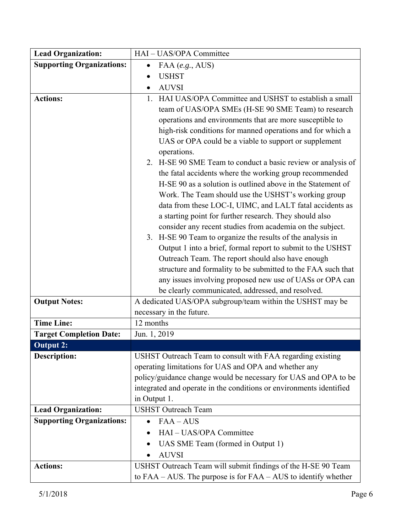| <b>Supporting Organizations:</b><br>FAA (e.g., AUS)<br><b>USHST</b><br><b>AUVSI</b>                                    |
|------------------------------------------------------------------------------------------------------------------------|
|                                                                                                                        |
|                                                                                                                        |
|                                                                                                                        |
| HAI UAS/OPA Committee and USHST to establish a small<br><b>Actions:</b><br>1.                                          |
| team of UAS/OPA SMEs (H-SE 90 SME Team) to research                                                                    |
| operations and environments that are more susceptible to                                                               |
| high-risk conditions for manned operations and for which a                                                             |
| UAS or OPA could be a viable to support or supplement                                                                  |
| operations.                                                                                                            |
| 2. H-SE 90 SME Team to conduct a basic review or analysis of                                                           |
| the fatal accidents where the working group recommended<br>H-SE 90 as a solution is outlined above in the Statement of |
|                                                                                                                        |
| Work. The Team should use the USHST's working group<br>data from these LOC-I, UIMC, and LALT fatal accidents as        |
| a starting point for further research. They should also                                                                |
| consider any recent studies from academia on the subject.                                                              |
| 3. H-SE 90 Team to organize the results of the analysis in                                                             |
| Output 1 into a brief, formal report to submit to the USHST                                                            |
| Outreach Team. The report should also have enough                                                                      |
| structure and formality to be submitted to the FAA such that                                                           |
| any issues involving proposed new use of UASs or OPA can                                                               |
| be clearly communicated, addressed, and resolved.                                                                      |
| A dedicated UAS/OPA subgroup/team within the USHST may be<br><b>Output Notes:</b>                                      |
| necessary in the future.                                                                                               |
| <b>Time Line:</b><br>12 months                                                                                         |
| <b>Target Completion Date:</b><br>Jun. 1, 2019                                                                         |
| <b>Output 2:</b>                                                                                                       |
| <b>Description:</b><br>USHST Outreach Team to consult with FAA regarding existing                                      |
| operating limitations for UAS and OPA and whether any                                                                  |
| policy/guidance change would be necessary for UAS and OPA to be                                                        |
| integrated and operate in the conditions or environments identified                                                    |
| in Output 1.<br><b>Lead Organization:</b><br><b>USHST Outreach Team</b>                                                |
| <b>Supporting Organizations:</b><br>$FAA - AUS$                                                                        |
| $\bullet$<br>HAI - UAS/OPA Committee                                                                                   |
|                                                                                                                        |
| UAS SME Team (formed in Output 1)<br><b>AUVSI</b>                                                                      |
| USHST Outreach Team will submit findings of the H-SE 90 Team<br><b>Actions:</b>                                        |
| to $FAA - AUS$ . The purpose is for $FAA - AUS$ to identify whether                                                    |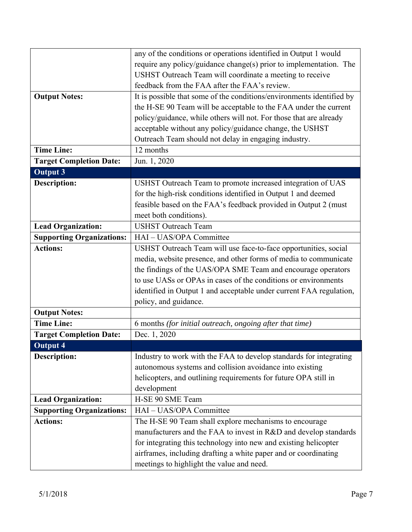| any of the conditions or operations identified in Output 1 would      |
|-----------------------------------------------------------------------|
| require any policy/guidance change(s) prior to implementation. The    |
| USHST Outreach Team will coordinate a meeting to receive              |
| feedback from the FAA after the FAA's review.                         |
| It is possible that some of the conditions/environments identified by |
| the H-SE 90 Team will be acceptable to the FAA under the current      |
| policy/guidance, while others will not. For those that are already    |
| acceptable without any policy/guidance change, the USHST              |
|                                                                       |
| Outreach Team should not delay in engaging industry.<br>12 months     |
|                                                                       |
| Jun. 1, 2020                                                          |
|                                                                       |
| USHST Outreach Team to promote increased integration of UAS           |
| for the high-risk conditions identified in Output 1 and deemed        |
| feasible based on the FAA's feedback provided in Output 2 (must       |
| meet both conditions).                                                |
| <b>USHST Outreach Team</b>                                            |
| HAI - UAS/OPA Committee                                               |
| USHST Outreach Team will use face-to-face opportunities, social       |
| media, website presence, and other forms of media to communicate      |
| the findings of the UAS/OPA SME Team and encourage operators          |
| to use UASs or OPAs in cases of the conditions or environments        |
| identified in Output 1 and acceptable under current FAA regulation,   |
| policy, and guidance.                                                 |
|                                                                       |
| 6 months (for initial outreach, ongoing after that time)              |
| Dec. 1, 2020                                                          |
|                                                                       |
|                                                                       |
| Industry to work with the FAA to develop standards for integrating    |
| autonomous systems and collision avoidance into existing              |
| helicopters, and outlining requirements for future OPA still in       |
| development                                                           |
| H-SE 90 SME Team                                                      |
| HAI - UAS/OPA Committee                                               |
| The H-SE 90 Team shall explore mechanisms to encourage                |
| manufacturers and the FAA to invest in R&D and develop standards      |
| for integrating this technology into new and existing helicopter      |
| airframes, including drafting a white paper and or coordinating       |
| meetings to highlight the value and need.                             |
|                                                                       |